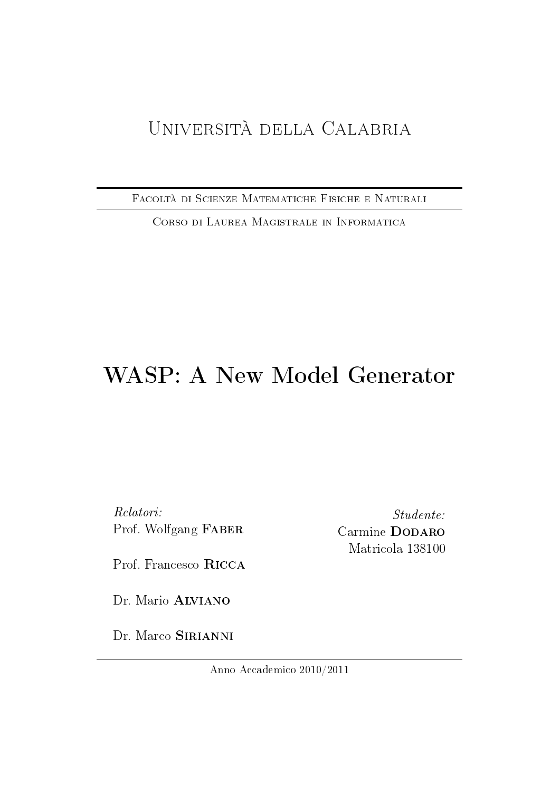# Università della Calabria

Facoltà di Scienze Matematiche Fisiche e Naturali

Corso di Laurea Magistrale in Informatica

# WASP: A New Model Generator

Relatori: Prof. Wolfgang Faber

Prof. Francesco Ricca

Dr. Mario **ALVIANO** 

Dr. Marco SIRIANNI

Studente: Carmine DODARO Matricola 138100

Anno Accademico 2010/2011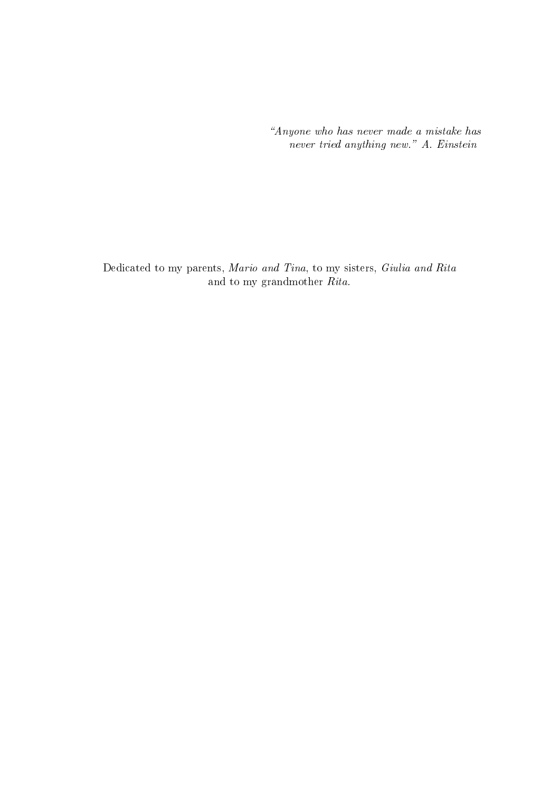Anyone who has never made a mistake has never tried anything new." A. Einstein

Dedicated to my parents, Mario and Tina, to my sisters, Giulia and Rita and to my grandmother Rita.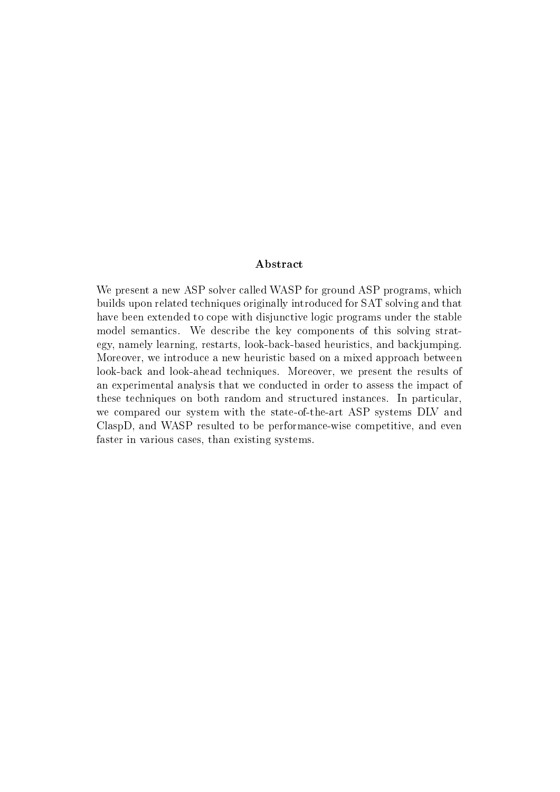#### Abstract

We present a new ASP solver called WASP for ground ASP programs, which builds upon related techniques originally introduced for SAT solving and that have been extended to cope with disjunctive logic programs under the stable model semantics. We describe the key components of this solving strategy, namely learning, restarts, look-back-based heuristics, and backjumping. Moreover, we introduce a new heuristic based on a mixed approach between look-back and look-ahead techniques. Moreover, we present the results of an experimental analysis that we conducted in order to assess the impact of these techniques on both random and structured instances. In particular, we compared our system with the state-of-the-art ASP systems DLV and ClaspD, and WASP resulted to be performance-wise competitive, and even faster in various cases, than existing systems.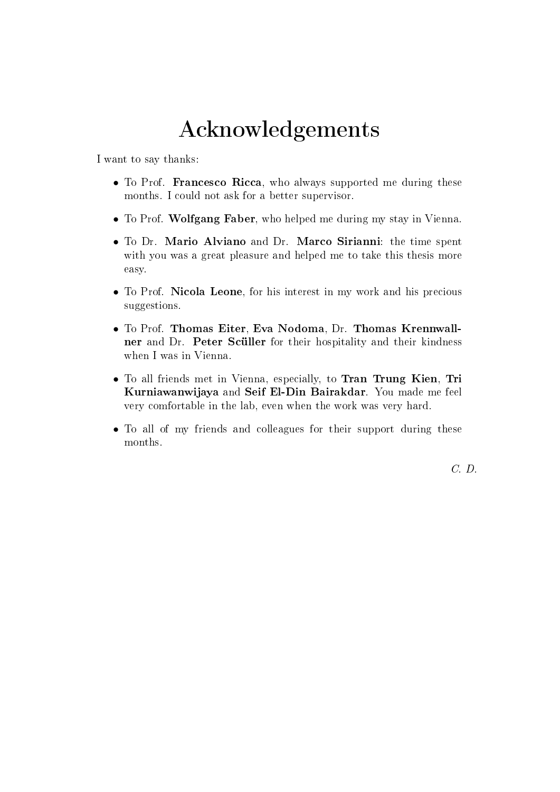# Acknowledgements

I want to say thanks:

- To Prof. Francesco Ricca, who always supported me during these months. I could not ask for a better supervisor.
- To Prof. Wolfgang Faber, who helped me during my stay in Vienna.
- To Dr. Mario Alviano and Dr. Marco Sirianni: the time spent with you was a great pleasure and helped me to take this thesis more easy.
- To Prof. Nicola Leone, for his interest in my work and his precious suggestions.
- To Prof. Thomas Eiter, Eva Nodoma, Dr. Thomas Krennwallner and Dr. Peter Scüller for their hospitality and their kindness when I was in Vienna.
- To all friends met in Vienna, especially, to Tran Trung Kien, Tri Kurniawanwijaya and Seif El-Din Bairakdar. You made me feel very comfortable in the lab, even when the work was very hard.
- To all of my friends and colleagues for their support during these months.

C. D.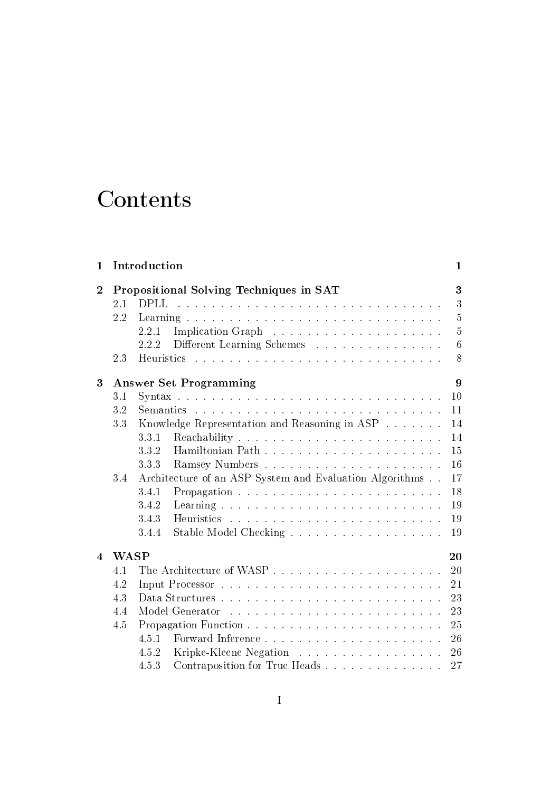# Contents

| 1              |                                    | Introduction                                            | 1              |  |  |  |  |  |
|----------------|------------------------------------|---------------------------------------------------------|----------------|--|--|--|--|--|
| $\overline{2}$ |                                    | Propositional Solving Techniques in SAT                 | 3              |  |  |  |  |  |
|                | 2.1                                | <b>DPLL</b>                                             | 3              |  |  |  |  |  |
|                | 2.2                                |                                                         | 5              |  |  |  |  |  |
|                |                                    | 2.2.1                                                   | $\overline{5}$ |  |  |  |  |  |
|                |                                    | Different Learning Schemes<br>2.2.2                     | 6              |  |  |  |  |  |
|                | 2.3                                |                                                         | 8              |  |  |  |  |  |
| 3              | 9<br><b>Answer Set Programming</b> |                                                         |                |  |  |  |  |  |
|                | 3.1                                |                                                         | 10             |  |  |  |  |  |
|                | 3.2                                |                                                         | 11             |  |  |  |  |  |
|                | 3.3                                | Knowledge Representation and Reasoning in ASP           | 14             |  |  |  |  |  |
|                |                                    | 3.3.1                                                   | 14             |  |  |  |  |  |
|                |                                    | 3.3.2                                                   | 15             |  |  |  |  |  |
|                |                                    | 3.3.3                                                   | 16             |  |  |  |  |  |
|                | 3.4                                | Architecture of an ASP System and Evaluation Algorithms |                |  |  |  |  |  |
|                |                                    | 3.4.1                                                   | 18             |  |  |  |  |  |
|                |                                    | 3.4.2                                                   | 19             |  |  |  |  |  |
|                |                                    | 3.4.3                                                   | 19             |  |  |  |  |  |
|                |                                    | 3.4.4                                                   | 19             |  |  |  |  |  |
| 4              | <b>WASP</b><br>20                  |                                                         |                |  |  |  |  |  |
|                | 4.1                                |                                                         | 20             |  |  |  |  |  |
|                | 4.2                                |                                                         | 21             |  |  |  |  |  |
|                | 4.3                                |                                                         | 23             |  |  |  |  |  |
|                | 4.4                                |                                                         | 23             |  |  |  |  |  |
|                | 4.5                                |                                                         | 25             |  |  |  |  |  |
|                |                                    | 4.5.1                                                   | 26             |  |  |  |  |  |
|                |                                    | Kripke-Kleene Negation<br>4.5.2                         | 26             |  |  |  |  |  |
|                |                                    | 4.5.3                                                   | 27             |  |  |  |  |  |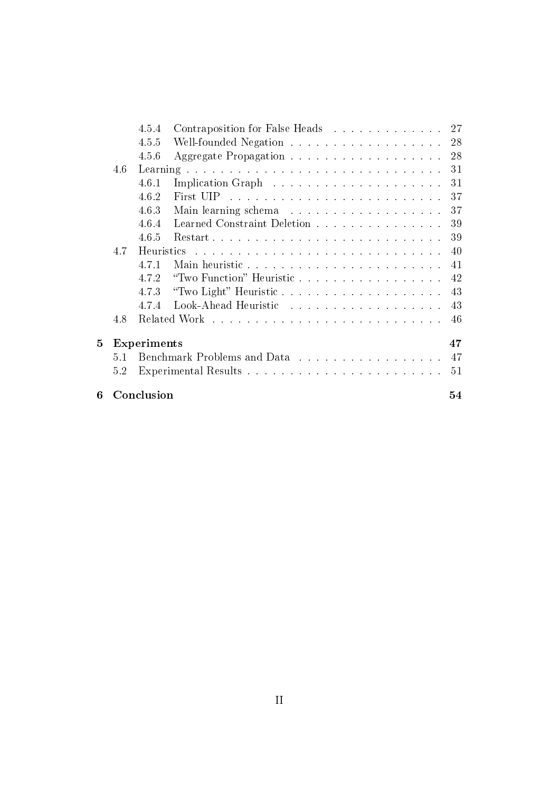|   |     | 4.5.4       | Contraposition for False Heads 27 |    |
|---|-----|-------------|-----------------------------------|----|
|   |     | 4.5.5       | Well-founded Negation 28          |    |
|   |     | 4.5.6       |                                   | 28 |
|   | 4.6 |             |                                   | 31 |
|   |     | 4.6.1       |                                   | 31 |
|   |     | 4.6.2       |                                   | 37 |
|   |     | 4.6.3       |                                   | 37 |
|   |     | 4.6.4       | Learned Constraint Deletion       | 39 |
|   |     | 4.6.5       |                                   | 39 |
|   | 4.7 |             |                                   | 40 |
|   |     | 4.7.1       |                                   | 41 |
|   |     | 4.7.2       |                                   | 42 |
|   |     | 4.7.3       |                                   | 43 |
|   |     | 4.7.4       |                                   | 43 |
|   | 4.8 |             |                                   | 46 |
| 5 |     | Experiments |                                   | 47 |
|   | 5.1 |             |                                   | 47 |
|   | 5.2 |             |                                   | 51 |
| 6 |     | Conclusion  |                                   | 54 |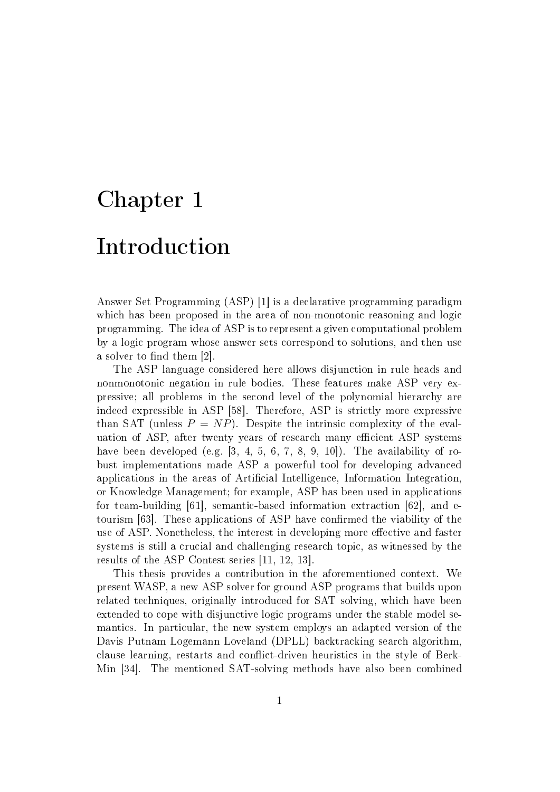# Chapter 1 Introduction

Answer Set Programming (ASP) [1] is a declarative programming paradigm which has been proposed in the area of non-monotonic reasoning and logic programming. The idea of ASP is to represent a given computational problem by a logic program whose answer sets correspond to solutions, and then use a solver to find them  $[2]$ .

The ASP language considered here allows disjunction in rule heads and nonmonotonic negation in rule bodies. These features make ASP very expressive; all problems in the second level of the polynomial hierarchy are indeed expressible in ASP [58]. Therefore, ASP is strictly more expressive than SAT (unless  $P = NP$ ). Despite the intrinsic complexity of the evaluation of ASP, after twenty years of research many efficient ASP systems have been developed (e.g. [3, 4, 5, 6, 7, 8, 9, 10]). The availability of robust implementations made ASP a powerful tool for developing advanced applications in the areas of Artificial Intelligence, Information Integration, or Knowledge Management; for example, ASP has been used in applications for team-building [61], semantic-based information extraction [62], and etourism [63]. These applications of ASP have confirmed the viability of the use of ASP. Nonetheless, the interest in developing more effective and faster systems is still a crucial and challenging research topic, as witnessed by the results of the ASP Contest series [11, 12, 13].

This thesis provides a contribution in the aforementioned context. We present WASP, a new ASP solver for ground ASP programs that builds upon related techniques, originally introduced for SAT solving, which have been extended to cope with disjunctive logic programs under the stable model semantics. In particular, the new system employs an adapted version of the Davis Putnam Logemann Loveland (DPLL) backtracking search algorithm, clause learning, restarts and conflict-driven heuristics in the style of Berk-Min [34]. The mentioned SAT-solving methods have also been combined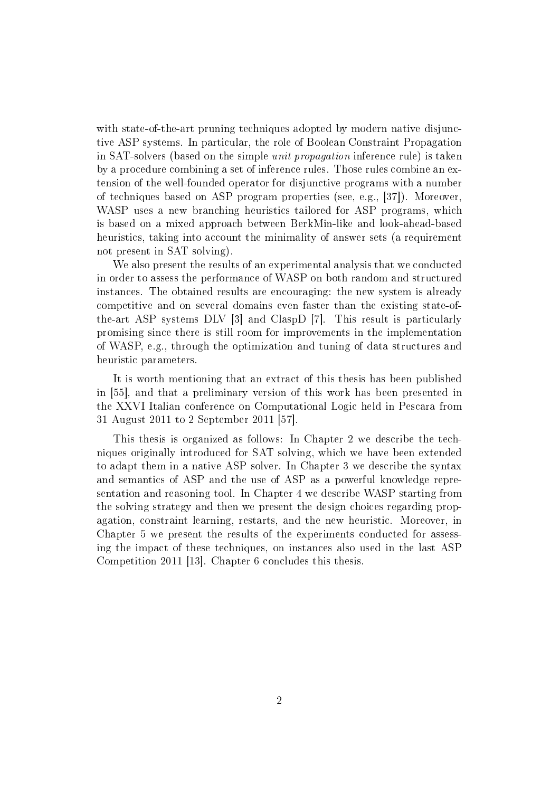with state-of-the-art pruning techniques adopted by modern native disjunctive ASP systems. In particular, the role of Boolean Constraint Propagation in SAT-solvers (based on the simple unit propagation inference rule) is taken by a procedure combining a set of inference rules. Those rules combine an extension of the well-founded operator for disjunctive programs with a number of techniques based on ASP program properties (see, e.g., [37]). Moreover, WASP uses a new branching heuristics tailored for ASP programs, which is based on a mixed approach between BerkMin-like and look-ahead-based heuristics, taking into account the minimality of answer sets (a requirement not present in SAT solving).

We also present the results of an experimental analysis that we conducted in order to assess the performance of WASP on both random and structured instances. The obtained results are encouraging: the new system is already competitive and on several domains even faster than the existing state-ofthe-art ASP systems DLV [3] and ClaspD [7]. This result is particularly promising since there is still room for improvements in the implementation of WASP, e.g., through the optimization and tuning of data structures and heuristic parameters.

It is worth mentioning that an extract of this thesis has been published in [55], and that a preliminary version of this work has been presented in the XXVI Italian conference on Computational Logic held in Pescara from 31 August 2011 to 2 September 2011 [57].

This thesis is organized as follows: In Chapter 2 we describe the techniques originally introduced for SAT solving, which we have been extended to adapt them in a native ASP solver. In Chapter 3 we describe the syntax and semantics of ASP and the use of ASP as a powerful knowledge representation and reasoning tool. In Chapter 4 we describe WASP starting from the solving strategy and then we present the design choices regarding propagation, constraint learning, restarts, and the new heuristic. Moreover, in Chapter 5 we present the results of the experiments conducted for assessing the impact of these techniques, on instances also used in the last ASP Competition 2011 [13]. Chapter 6 concludes this thesis.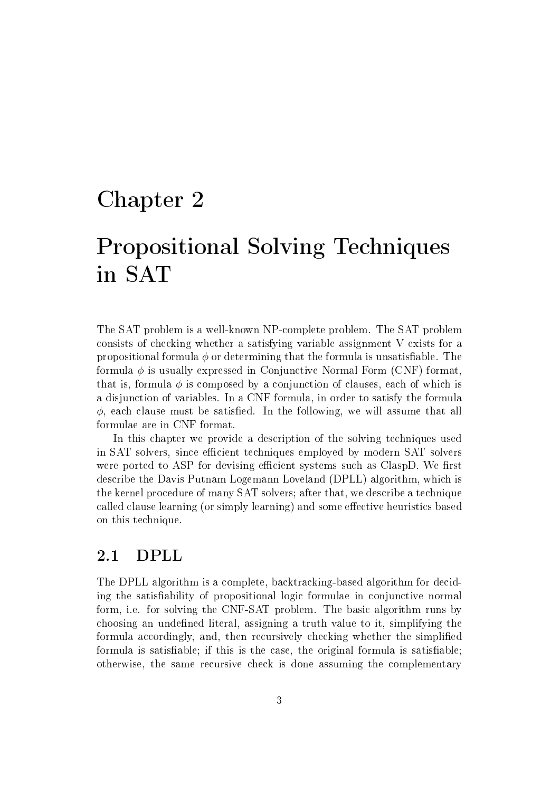# Chapter 2

# Propositional Solving Techniques in SAT

The SAT problem is a well-known NP-complete problem. The SAT problem consists of checking whether a satisfying variable assignment V exists for a propositional formula  $\phi$  or determining that the formula is unsatisfiable. The formula  $\phi$  is usually expressed in Conjunctive Normal Form (CNF) format, that is, formula  $\phi$  is composed by a conjunction of clauses, each of which is a disjunction of variables. In a CNF formula, in order to satisfy the formula  $\phi$ , each clause must be satisfied. In the following, we will assume that all formulae are in CNF format.

In this chapter we provide a description of the solving techniques used in SAT solvers, since efficient techniques employed by modern SAT solvers were ported to ASP for devising efficient systems such as ClaspD. We first describe the Davis Putnam Logemann Loveland (DPLL) algorithm, which is the kernel procedure of many SAT solvers; after that, we describe a technique called clause learning (or simply learning) and some effective heuristics based on this technique.

## 2.1 DPLL

The DPLL algorithm is a complete, backtracking-based algorithm for deciding the satisability of propositional logic formulae in conjunctive normal form, i.e. for solving the CNF-SAT problem. The basic algorithm runs by choosing an undefined literal, assigning a truth value to it, simplifying the formula accordingly, and, then recursively checking whether the simplied formula is satisfiable; if this is the case, the original formula is satisfiable: otherwise, the same recursive check is done assuming the complementary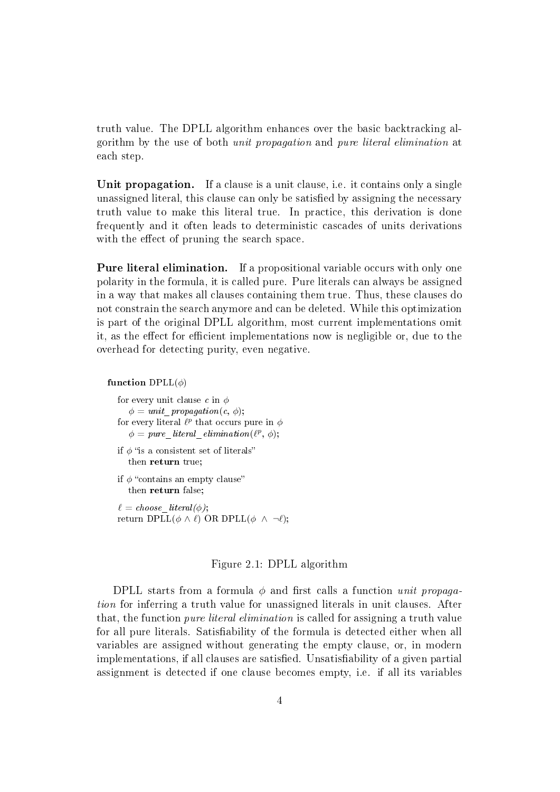truth value. The DPLL algorithm enhances over the basic backtracking algorithm by the use of both unit propagation and pure literal elimination at each step.

Unit propagation. If a clause is a unit clause, i.e. it contains only a single unassigned literal, this clause can only be satisfied by assigning the necessary truth value to make this literal true. In practice, this derivation is done frequently and it often leads to deterministic cascades of units derivations with the effect of pruning the search space.

Pure literal elimination. If a propositional variable occurs with only one polarity in the formula, it is called pure. Pure literals can always be assigned in a way that makes all clauses containing them true. Thus, these clauses do not constrain the search anymore and can be deleted. While this optimization is part of the original DPLL algorithm, most current implementations omit it, as the effect for efficient implementations now is negligible or, due to the overhead for detecting purity, even negative.

function  $DPLL(\phi)$ 

for every unit clause c in  $\phi$  $\phi = unit$  propagation(c,  $\phi$ ); for every literal  $\ell^p$  that occurs pure in  $\phi$  $\phi = pure$  literal elimination( $(\ell^p, \phi);$ 

- if  $\phi$  "is a consistent set of literals" then return true;
- if  $\phi$  "contains an empty clause" then return false;

 $\ell = choose\_literal(\phi);$ return DPLL $(\phi \land \ell)$  OR DPLL $(\phi \land \neg \ell);$ 

#### Figure 2.1: DPLL algorithm

DPLL starts from a formula  $\phi$  and first calls a function unit propagation for inferring a truth value for unassigned literals in unit clauses. After that, the function pure literal elimination is called for assigning a truth value for all pure literals. Satisfiability of the formula is detected either when all variables are assigned without generating the empty clause, or, in modern implementations, if all clauses are satisfied. Unsatisfiability of a given partial assignment is detected if one clause becomes empty, i.e. if all its variables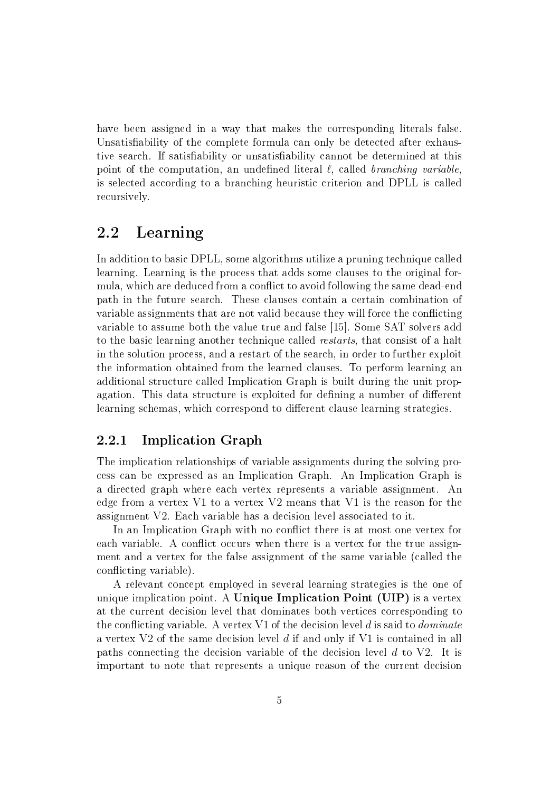have been assigned in a way that makes the corresponding literals false. Unsatisfiability of the complete formula can only be detected after exhaustive search. If satisfiability or unsatisfiability cannot be determined at this point of the computation, an undefined literal  $\ell$ , called branching variable, is selected according to a branching heuristic criterion and DPLL is called recursively.

## 2.2 Learning

In addition to basic DPLL, some algorithms utilize a pruning technique called learning. Learning is the process that adds some clauses to the original formula, which are deduced from a conflict to avoid following the same dead-end path in the future search. These clauses contain a certain combination of variable assignments that are not valid because they will force the conflicting variable to assume both the value true and false [15]. Some SAT solvers add to the basic learning another technique called restarts, that consist of a halt in the solution process, and a restart of the search, in order to further exploit the information obtained from the learned clauses. To perform learning an additional structure called Implication Graph is built during the unit propagation. This data structure is exploited for defining a number of different learning schemas, which correspond to different clause learning strategies.

### 2.2.1 Implication Graph

The implication relationships of variable assignments during the solving process can be expressed as an Implication Graph. An Implication Graph is a directed graph where each vertex represents a variable assignment. An edge from a vertex V1 to a vertex V2 means that V1 is the reason for the assignment V2. Each variable has a decision level associated to it.

In an Implication Graph with no conflict there is at most one vertex for each variable. A conflict occurs when there is a vertex for the true assignment and a vertex for the false assignment of the same variable (called the conflicting variable).

A relevant concept employed in several learning strategies is the one of unique implication point. A Unique Implication Point (UIP) is a vertex at the current decision level that dominates both vertices corresponding to the conflicting variable. A vertex V1 of the decision level d is said to *dominate* a vertex V2 of the same decision level d if and only if V1 is contained in all paths connecting the decision variable of the decision level d to V2. It is important to note that represents a unique reason of the current decision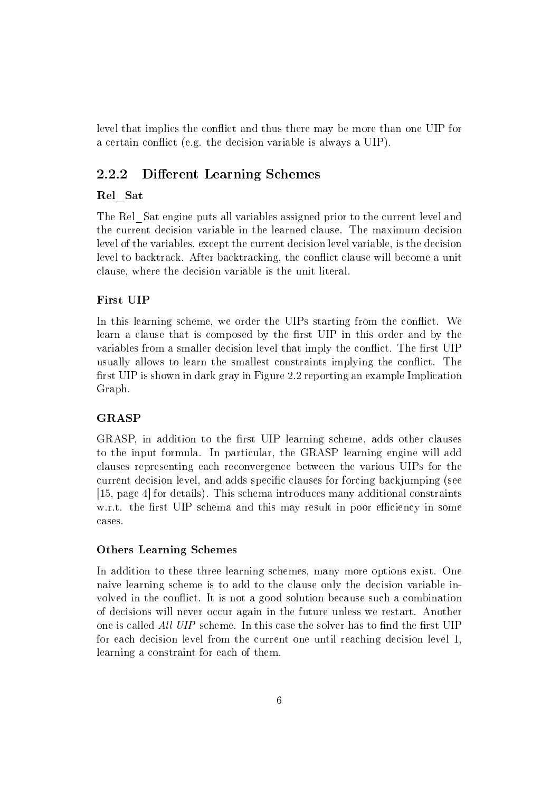level that implies the conflict and thus there may be more than one UIP for a certain conflict (e.g. the decision variable is always a UIP).

#### 2.2.2 Different Learning Schemes

#### Rel\_Sat

The Rel\_Sat engine puts all variables assigned prior to the current level and the current decision variable in the learned clause. The maximum decision level of the variables, except the current decision level variable, is the decision level to backtrack. After backtracking, the conflict clause will become a unit clause, where the decision variable is the unit literal.

#### First UIP

In this learning scheme, we order the UIPs starting from the conflict. We learn a clause that is composed by the first UIP in this order and by the variables from a smaller decision level that imply the conflict. The first UIP usually allows to learn the smallest constraints implying the conflict. The first UIP is shown in dark gray in Figure 2.2 reporting an example Implication Graph.

#### GRASP

GRASP, in addition to the first UIP learning scheme, adds other clauses to the input formula. In particular, the GRASP learning engine will add clauses representing each reconvergence between the various UIPs for the current decision level, and adds specific clauses for forcing backjumping (see [15, page 4] for details). This schema introduces many additional constraints w.r.t. the first UIP schema and this may result in poor efficiency in some cases.

#### Others Learning Schemes

In addition to these three learning schemes, many more options exist. One naive learning scheme is to add to the clause only the decision variable involved in the conflict. It is not a good solution because such a combination of decisions will never occur again in the future unless we restart. Another one is called All UIP scheme. In this case the solver has to find the first UIP for each decision level from the current one until reaching decision level 1, learning a constraint for each of them.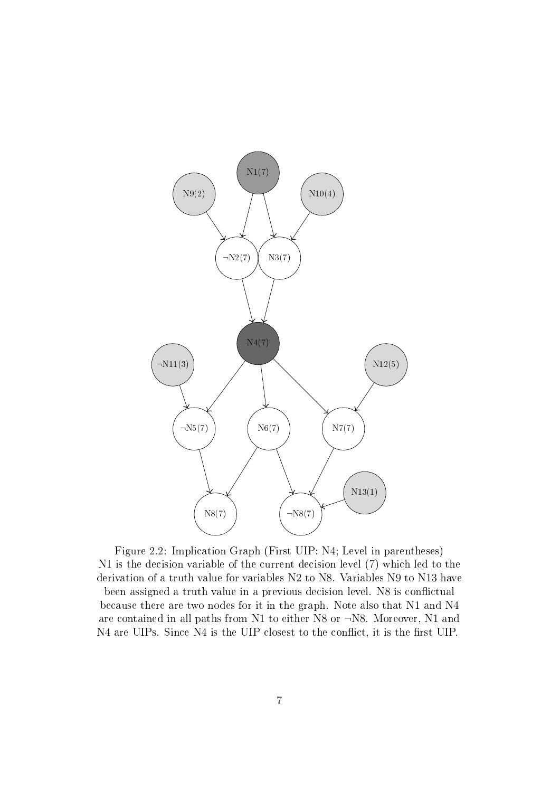

Figure 2.2: Implication Graph (First UIP: N4; Level in parentheses) N1 is the decision variable of the current decision level (7) which led to the derivation of a truth value for variables N2 to N8. Variables N9 to N13 have been assigned a truth value in a previous decision level. N8 is conflictual because there are two nodes for it in the graph. Note also that N1 and N4 are contained in all paths from N1 to either N8 or ¬N8. Moreover, N1 and N4 are UIPs. Since N4 is the UIP closest to the conflict, it is the first UIP.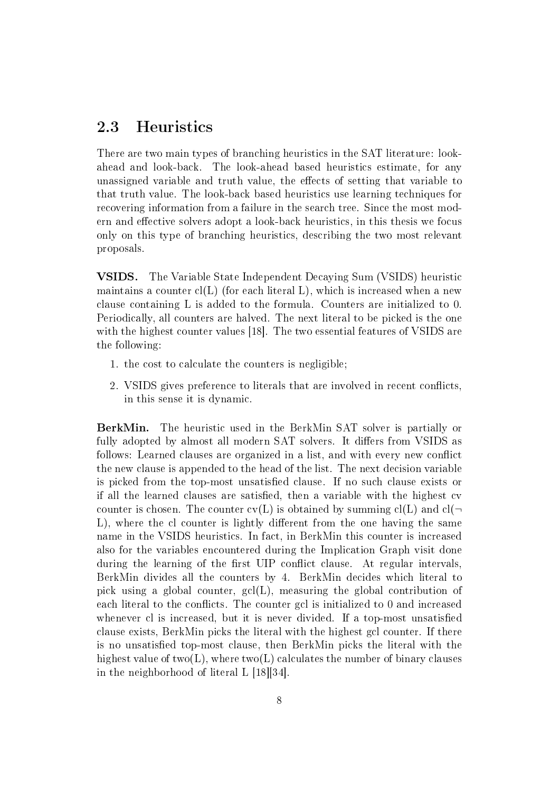## 2.3 Heuristics

There are two main types of branching heuristics in the SAT literature: lookahead and look-back. The look-ahead based heuristics estimate, for any unassigned variable and truth value, the effects of setting that variable to that truth value. The look-back based heuristics use learning techniques for recovering information from a failure in the search tree. Since the most modern and effective solvers adopt a look-back heuristics, in this thesis we focus only on this type of branching heuristics, describing the two most relevant proposals.

VSIDS. The Variable State Independent Decaying Sum (VSIDS) heuristic maintains a counter  $cl(L)$  (for each literal L), which is increased when a new clause containing L is added to the formula. Counters are initialized to 0. Periodically, all counters are halved. The next literal to be picked is the one with the highest counter values [18]. The two essential features of VSIDS are the following:

- 1. the cost to calculate the counters is negligible;
- 2. VSIDS gives preference to literals that are involved in recent conflicts. in this sense it is dynamic.

BerkMin. The heuristic used in the BerkMin SAT solver is partially or fully adopted by almost all modern SAT solvers. It differs from VSIDS as follows: Learned clauses are organized in a list, and with every new conflict the new clause is appended to the head of the list. The next decision variable is picked from the top-most unsatisfied clause. If no such clause exists or if all the learned clauses are satisfied, then a variable with the highest cv counter is chosen. The counter  $cv(L)$  is obtained by summing  $cl(L)$  and  $cl(\neg$  $L$ ), where the cl counter is lightly different from the one having the same name in the VSIDS heuristics. In fact, in BerkMin this counter is increased also for the variables encountered during the Implication Graph visit done during the learning of the first UIP conflict clause. At regular intervals, BerkMin divides all the counters by 4. BerkMin decides which literal to pick using a global counter,  $\text{gcl}(L)$ , measuring the global contribution of each literal to the conflicts. The counter gcl is initialized to 0 and increased whenever cl is increased, but it is never divided. If a top-most unsatisfied clause exists, BerkMin picks the literal with the highest gcl counter. If there is no unsatised top-most clause, then BerkMin picks the literal with the highest value of two(L), where two(L) calculates the number of binary clauses in the neighborhood of literal L [18][34].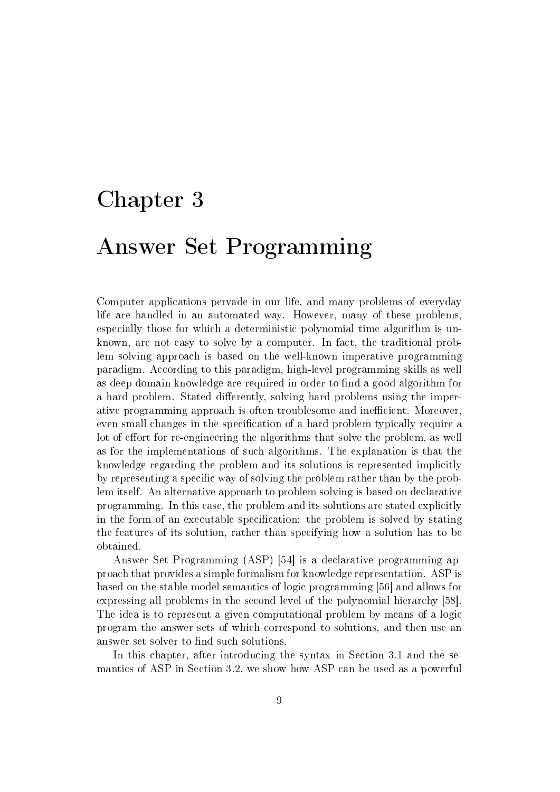# Chapter 3

# Answer Set Programming

Computer applications pervade in our life, and many problems of everyday life are handled in an automated way. However, many of these problems, especially those for which a deterministic polynomial time algorithm is unknown, are not easy to solve by a computer. In fact, the traditional problem solving approach is based on the well-known imperative programming paradigm. According to this paradigm, high-level programming skills as well as deep domain knowledge are required in order to find a good algorithm for a hard problem. Stated differently, solving hard problems using the imperative programming approach is often troublesome and inefficient. Moreover, even small changes in the specification of a hard problem typically require a lot of effort for re-engineering the algorithms that solve the problem, as well as for the implementations of such algorithms. The explanation is that the knowledge regarding the problem and its solutions is represented implicitly by representing a specific way of solving the problem rather than by the problem itself. An alternative approach to problem solving is based on declarative programming. In this case, the problem and its solutions are stated explicitly in the form of an executable specification: the problem is solved by stating the features of its solution, rather than specifying how a solution has to be obtained.

Answer Set Programming (ASP) [54] is a declarative programming approach that provides a simple formalism for knowledge representation. ASP is based on the stable model semantics of logic programming [56] and allows for expressing all problems in the second level of the polynomial hierarchy [58]. The idea is to represent a given computational problem by means of a logic program the answer sets of which correspond to solutions, and then use an answer set solver to find such solutions.

In this chapter, after introducing the syntax in Section 3.1 and the semantics of ASP in Section 3.2, we show how ASP can be used as a powerful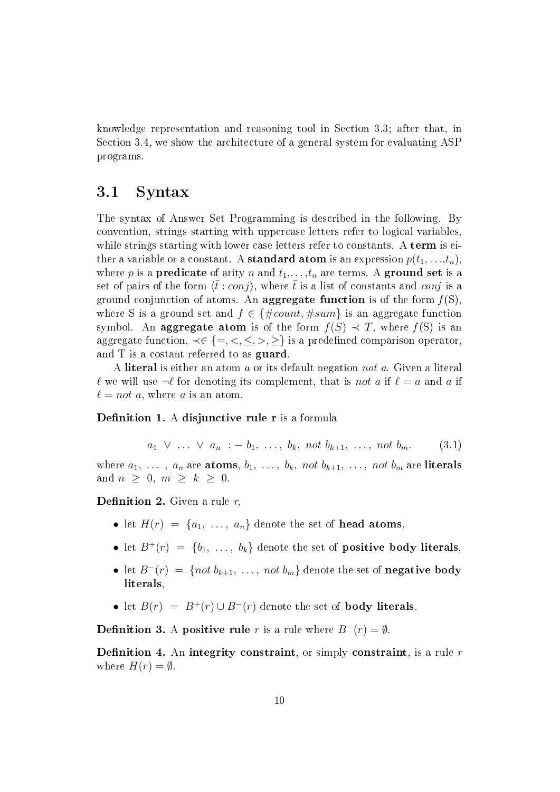knowledge representation and reasoning tool in Section 3.3; after that, in Section 3.4, we show the architecture of a general system for evaluating ASP programs.

## 3.1 Syntax

The syntax of Answer Set Programming is described in the following. By convention, strings starting with uppercase letters refer to logical variables, while strings starting with lower case letters refer to constants. A term is either a variable or a constant. A **standard atom** is an expression  $p(t_1, \ldots, t_n)$ , where p is a **predicate** of arity n and  $t_1, \ldots, t_n$  are terms. A **ground set** is a set of pairs of the form  $\langle \bar{t} : conj \rangle$ , where  $\bar{t}$  is a list of constants and conj is a ground conjunction of atoms. An **aggregate function** is of the form  $f(S)$ , where S is a ground set and  $f \in \{\text{\#count}, \text{\#sum}\}$  is an aggregate function symbol. An **aggregate atom** is of the form  $f(S) \prec T$ , where  $f(S)$  is an aggregate function,  $\prec \in \{ =, <, \leq, >, \geq \}$  is a predefined comparison operator, and T is a costant referred to as guard.

A literal is either an atom a or its default negation not a. Given a literal  $\ell$  we will use  $\neg \ell$  for denoting its complement, that is not a if  $\ell = a$  and a if  $\ell = not$  a, where a is an atom.

#### Definition 1. A disjunctive rule  $r$  is a formula

$$
a_1 \vee \ldots \vee a_n := b_1, \ldots, b_k, \text{ not } b_{k+1}, \ldots, \text{ not } b_m.
$$
 (3.1)

where  $a_1, \ldots, a_n$  are **atoms**,  $b_1, \ldots, b_k$ , not  $b_{k+1}, \ldots, \text{not } b_m$  are **literals** and  $n \geq 0$ ,  $m \geq k \geq 0$ .

#### **Definition 2.** Given a rule  $r$ ,

- let  $H(r) = \{a_1, \ldots, a_n\}$  denote the set of **head atoms**,
- let  $B^+(r) = \{b_1, \ldots, b_k\}$  denote the set of **positive body literals**,
- let  $B^{-}(r) = \{not \ b_{k+1}, \ldots, \ not \ b_m\}$  denote the set of negative body literals,
- let  $B(r) = B^{+}(r) \cup B^{-}(r)$  denote the set of **body literals**.

**Definition 3.** A positive rule r is a rule where  $B^-(r) = \emptyset$ .

**Definition 4.** An integrity constraint, or simply constraint, is a rule  $r$ where  $H(r) = \emptyset$ .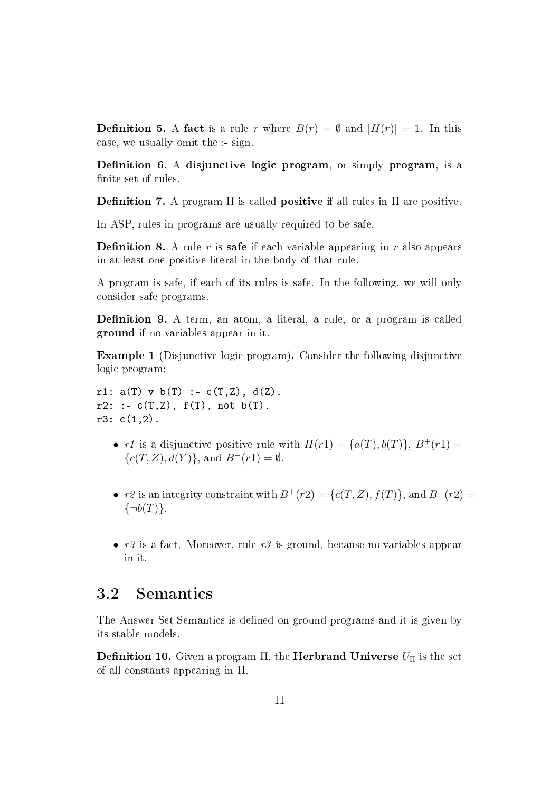**Definition 5.** A fact is a rule r where  $B(r) = \emptyset$  and  $|H(r)| = 1$ . In this case, we usually omit the :- sign.

Definition 6. A disjunctive logic program, or simply program, is a finite set of rules.

**Definition 7.** A program  $\Pi$  is called **positive** if all rules in  $\Pi$  are positive.

In ASP, rules in programs are usually required to be safe.

**Definition 8.** A rule r is **safe** if each variable appearing in r also appears in at least one positive literal in the body of that rule.

A program is safe, if each of its rules is safe. In the following, we will only consider safe programs.

Definition 9. A term, an atom, a literal, a rule, or a program is called ground if no variables appear in it.

Example 1 (Disjunctive logic program). Consider the following disjunctive logic program:

r1:  $a(T)$  v  $b(T)$  :-  $c(T, Z)$ ,  $d(Z)$ .  $r2: := c(T,Z), f(T), not b(T).$  $r3: c(1,2)$ .

- r1 is a disjunctive positive rule with  $H(r1) = \{a(T), b(T)\}\text{, } B^+(r1) =$  ${c(T, Z), d(Y)}$ , and  $B^{-}(r1) = \emptyset$ .
- r2 is an integrity constraint with  $B^{+}(r_1)=\{c(T, Z), f(T)\}\)$ , and  $B^{-}(r_1)=\{c(T, Z), f(T)\}\$  $\{\neg b(T)\}.$
- $r3$  is a fact. Moreover, rule  $r3$  is ground, because no variables appear in it.

### 3.2 Semantics

The Answer Set Semantics is defined on ground programs and it is given by its stable models.

**Definition 10.** Given a program  $\Pi$ , the **Herbrand Universe**  $U_{\Pi}$  is the set of all constants appearing in Π.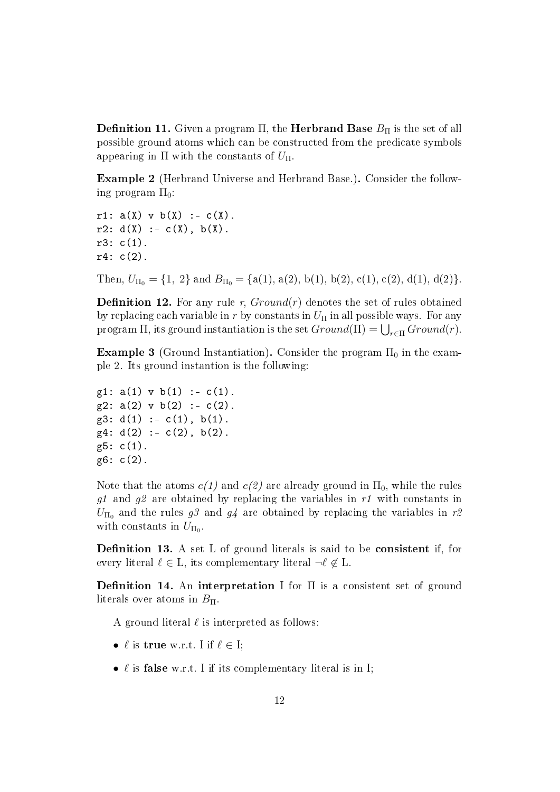**Definition 11.** Given a program  $\Pi$ , the **Herbrand Base**  $B_{\Pi}$  is the set of all possible ground atoms which can be constructed from the predicate symbols appearing in  $\Pi$  with the constants of  $U_{\Pi}$ .

Example 2 (Herbrand Universe and Herbrand Base.). Consider the following program  $\Pi_0$ :

r1:  $a(X)$  v  $b(X)$  :-  $c(X)$ .  $r2: d(X) := c(X), b(X).$ r3: c(1).  $r4: c(2)$ .

Then,  $U_{\Pi_0} = \{1, 2\}$  and  $B_{\Pi_0} = \{a(1), a(2), b(1), b(2), c(1), c(2), d(1), d(2)\}.$ 

**Definition 12.** For any rule r,  $Ground(r)$  denotes the set of rules obtained by replacing each variable in r by constants in  $U_{\Pi}$  in all possible ways. For any program  $\Pi$ , its ground instantiation is the set  $Ground(\Pi) = \bigcup_{r \in \Pi} Ground(r)$ .

Example 3 (Ground Instantiation). Consider the program  $\Pi_0$  in the example 2. Its ground instantion is the following:

 $g1: a(1) \, v \, b(1) \, : - \, c(1)$ .  $g2: a(2)$  v b(2) :- c(2).  $g3: d(1) := c(1), b(1).$  $g4: d(2) :- c(2), b(2).$ g5: c(1). g6: c(2).

Note that the atoms  $c(1)$  and  $c(2)$  are already ground in  $\Pi_0$ , while the rules g1 and g2 are obtained by replacing the variables in  $r1$  with constants in  $U_{\Pi_0}$  and the rules g3 and g4 are obtained by replacing the variables in r2 with constants in  $U_{\Pi_0}$ .

**Definition 13.** A set L of ground literals is said to be **consistent** if, for every literal  $\ell \in L$ , its complementary literal  $\neg \ell \notin L$ .

**Definition 14.** An interpretation I for  $\Pi$  is a consistent set of ground literals over atoms in  $B_{\Pi}$ .

A ground literal  $\ell$  is interpreted as follows:

- $\ell$  is true w.r.t. I if  $\ell \in I$ ;
- $\ell$  is false w.r.t. I if its complementary literal is in I;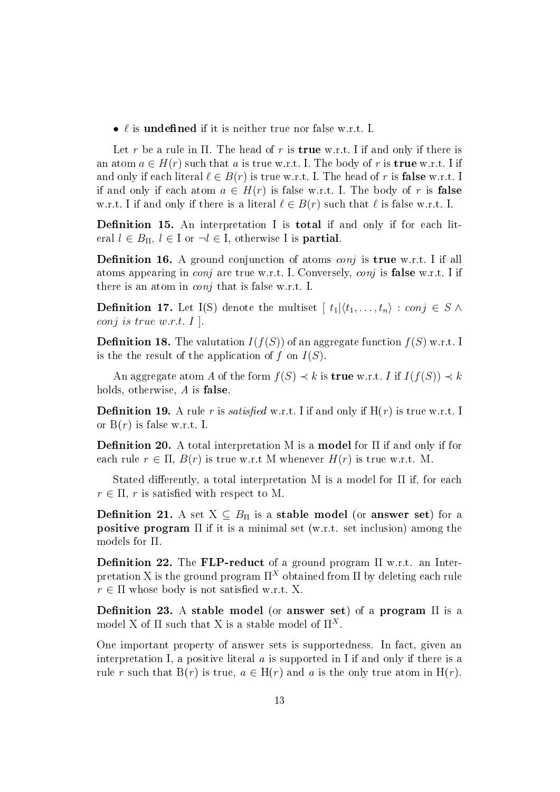•  $\ell$  is undefined if it is neither true nor false w.r.t. I.

Let r be a rule in  $\Pi$ . The head of r is **true** w.r.t. I if and only if there is an atom  $a \in H(r)$  such that a is true w.r.t. I. The body of r is **true** w.r.t. I if and only if each literal  $\ell \in B(r)$  is true w.r.t. I. The head of r is **false** w.r.t. I if and only if each atom  $a \in H(r)$  is false w.r.t. I. The body of r is **false** w.r.t. I if and only if there is a literal  $\ell \in B(r)$  such that  $\ell$  is false w.r.t. I.

**Definition 15.** An interpretation I is **total** if and only if for each literal  $l \in B_{\Pi}$ ,  $l \in I$  or  $\neg l \in I$ , otherwise I is **partial**.

**Definition 16.** A ground conjunction of atoms *conj* is **true** w.r.t. I if all atoms appearing in *conj* are true w.r.t. I. Conversely, *conj* is **false** w.r.t. I if there is an atom in conj that is false w.r.t. I.

**Definition 17.** Let I(S) denote the multiset  $[t_1|\langle t_1, \ldots, t_n \rangle : conj \in S \land$ conj is true w.r.t.  $I \,$ .

**Definition 18.** The valutation  $I(f(S))$  of an aggregate function  $f(S)$  w.r.t. I is the the result of the application of f on  $I(S)$ .

An aggregate atom A of the form  $f(S) \prec k$  is **true** w.r.t. I if  $I(f(S)) \prec k$ holds, otherwise, A is **false**.

**Definition 19.** A rule r is *satisfied* w.r.t. I if and only if  $H(r)$  is true w.r.t. I or  $B(r)$  is false w.r.t. I.

**Definition 20.** A total interpretation M is a **model** for  $\Pi$  if and only if for each rule  $r \in \Pi$ ,  $B(r)$  is true w.r.t M whenever  $H(r)$  is true w.r.t. M.

Stated differently, a total interpretation M is a model for  $\Pi$  if, for each  $r \in \Pi$ , r is satisfied with respect to M.

**Definition 21.** A set  $X \subseteq B_{\Pi}$  is a **stable model** (or **answer set**) for a positive program Π if it is a minimal set (w.r.t. set inclusion) among the models for Π.

Definition 22. The FLP-reduct of a ground program  $\Pi$  w.r.t. an Interpretation X is the ground program  $\Pi^X$  obtained from  $\Pi$  by deleting each rule  $r \in \Pi$  whose body is not satisfied w.r.t. X.

Definition 23. A stable model (or answer set) of a program  $\Pi$  is a model X of  $\Pi$  such that X is a stable model of  $\Pi^X$ .

One important property of answer sets is supportedness. In fact, given an interpretation I, a positive literal  $a$  is supported in I if and only if there is a rule r such that  $B(r)$  is true,  $a \in H(r)$  and a is the only true atom in  $H(r)$ .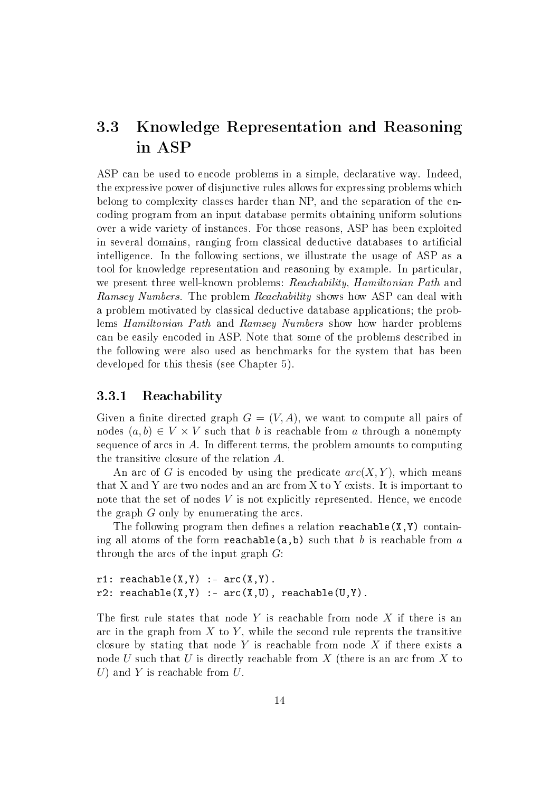# 3.3 Knowledge Representation and Reasoning in ASP

ASP can be used to encode problems in a simple, declarative way. Indeed, the expressive power of disjunctive rules allows for expressing problems which belong to complexity classes harder than NP, and the separation of the encoding program from an input database permits obtaining uniform solutions over a wide variety of instances. For those reasons, ASP has been exploited in several domains, ranging from classical deductive databases to artificial intelligence. In the following sections, we illustrate the usage of ASP as a tool for knowledge representation and reasoning by example. In particular, we present three well-known problems: Reachability, Hamiltonian Path and Ramsey Numbers. The problem Reachability shows how ASP can deal with a problem motivated by classical deductive database applications; the problems Hamiltonian Path and Ramsey Numbers show how harder problems can be easily encoded in ASP. Note that some of the problems described in the following were also used as benchmarks for the system that has been developed for this thesis (see Chapter 5).

#### 3.3.1 Reachability

Given a finite directed graph  $G = (V, A)$ , we want to compute all pairs of nodes  $(a, b) \in V \times V$  such that b is reachable from a through a nonempty sequence of arcs in  $A$ . In different terms, the problem amounts to computing the transitive closure of the relation A.

An arc of G is encoded by using the predicate  $arc(X, Y)$ , which means that X and Y are two nodes and an arc from X to Y exists. It is important to note that the set of nodes V is not explicitly represented. Hence, we encode the graph  $G$  only by enumerating the arcs.

The following program then defines a relation reachable  $(X, Y)$  containing all atoms of the form reachable(a,b) such that b is reachable from a through the arcs of the input graph  $G$ :

 $r1:$  reachable(X, Y) :-  $arc(X, Y)$ .  $r2:$  reachable(X, Y) :-  $arc(X, U)$ , reachable(U, Y).

The first rule states that node Y is reachable from node X if there is an arc in the graph from  $X$  to  $Y$ , while the second rule reprents the transitive closure by stating that node  $Y$  is reachable from node  $X$  if there exists a node U such that U is directly reachable from X (there is an arc from X to U) and Y is reachable from  $U$ .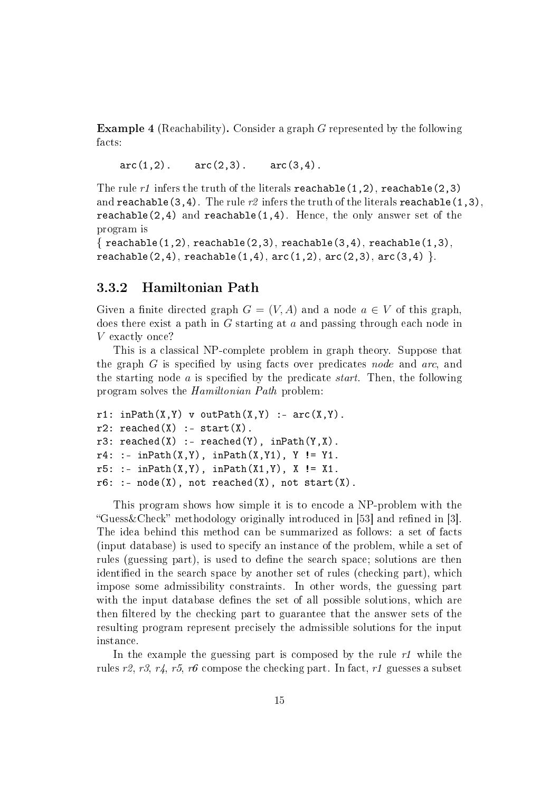Example 4 (Reachability). Consider a graph G represented by the following facts:

 $arc(1,2)$ .  $arc(2,3)$ .  $arc(3,4)$ .

The rule r1 infers the truth of the literals reachable(1,2), reachable(2,3) and reachable(3,4). The rule  $r2$  infers the truth of the literals reachable(1,3), reachable(2,4) and reachable(1,4). Hence, the only answer set of the program is

```
\{ reachable(1,2), reachable(2,3), reachable(3,4), reachable(1,3),
reachable(2,4), reachable(1,4), arc(1,2), arc(2,3), arc(3,4).
```
#### 3.3.2 Hamiltonian Path

Given a finite directed graph  $G = (V, A)$  and a node  $a \in V$  of this graph. does there exist a path in G starting at a and passing through each node in V exactly once?

This is a classical NP-complete problem in graph theory. Suppose that the graph  $G$  is specified by using facts over predicates node and arc, and the starting node  $\alpha$  is specified by the predicate *start*. Then, the following program solves the Hamiltonian Path problem:

```
r1: in Path(X, Y) v out Path(X, Y) : - arc(X, Y).
r2: reached(X) :- start(X).
r3: \text{reached}(X) :- \text{reached}(Y), \text{inPath}(Y,X).r4: := inPath(X, Y), inPath(X, Y1), Y := Y1.r5: := inPath(X, Y), inPath(X1, Y), X := X1.r6: : node(X), not reached(X), not start(X).
```
This program shows how simple it is to encode a NP-problem with the "Guess & Check" methodology originally introduced in [53] and refined in [3]. The idea behind this method can be summarized as follows: a set of facts (input database) is used to specify an instance of the problem, while a set of rules (guessing part), is used to define the search space; solutions are then identified in the search space by another set of rules (checking part), which impose some admissibility constraints. In other words, the guessing part with the input database defines the set of all possible solutions, which are then filtered by the checking part to guarantee that the answer sets of the resulting program represent precisely the admissible solutions for the input instance.

In the example the guessing part is composed by the rule  $r1$  while the rules r2, r3, r4, r5, r6 compose the checking part. In fact, r1 guesses a subset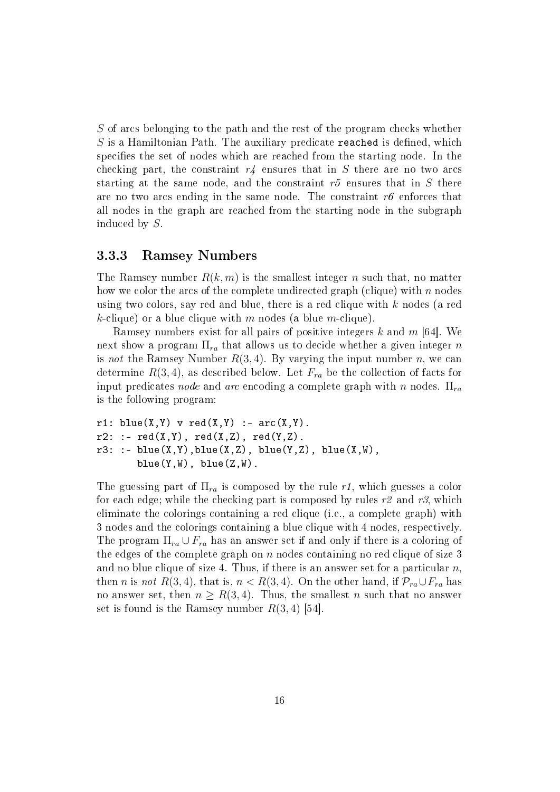S of arcs belonging to the path and the rest of the program checks whether  $S$  is a Hamiltonian Path. The auxiliary predicate reached is defined, which specifies the set of nodes which are reached from the starting node. In the checking part, the constraint  $r_4$  ensures that in S there are no two arcs starting at the same node, and the constraint  $r5$  ensures that in S there are no two arcs ending in the same node. The constraint  $r6$  enforces that all nodes in the graph are reached from the starting node in the subgraph induced by S.

#### 3.3.3 Ramsey Numbers

The Ramsey number  $R(k, m)$  is the smallest integer n such that, no matter how we color the arcs of the complete undirected graph (clique) with  $n$  nodes using two colors, say red and blue, there is a red clique with k nodes (a red k-clique) or a blue clique with m nodes (a blue m-clique).

Ramsey numbers exist for all pairs of positive integers k and  $m$  [64]. We next show a program  $\Pi_{ra}$  that allows us to decide whether a given integer n is not the Ramsey Number  $R(3, 4)$ . By varying the input number n, we can determine  $R(3, 4)$ , as described below. Let  $F_{ra}$  be the collection of facts for input predicates node and arc encoding a complete graph with n nodes.  $\Pi_{ra}$ is the following program:

```
r1: blue(X, Y) v red(X, Y) :- arc(X, Y).
r2: : - \text{red}(X,Y), \text{red}(X,Z), \text{red}(Y,Z).r3: := blue(X,Y), blue(X,Z), blue(Y,Z), blue(X,W),
        blue(Y, W), blue(Z, W).
```
The guessing part of  $\Pi_{ra}$  is composed by the rule r1, which guesses a color for each edge; while the checking part is composed by rules  $r^2$  and  $r^3$ , which eliminate the colorings containing a red clique (i.e., a complete graph) with 3 nodes and the colorings containing a blue clique with 4 nodes, respectively. The program  $\Pi_{ra} \cup F_{ra}$  has an answer set if and only if there is a coloring of the edges of the complete graph on  $n$  nodes containing no red clique of size 3 and no blue clique of size 4. Thus, if there is an answer set for a particular  $n$ , then n is not R(3, 4), that is,  $n < R(3, 4)$ . On the other hand, if  $\mathcal{P}_{ra} \cup F_{ra}$  has no answer set, then  $n \geq R(3, 4)$ . Thus, the smallest n such that no answer set is found is the Ramsey number  $R(3, 4)$  [54].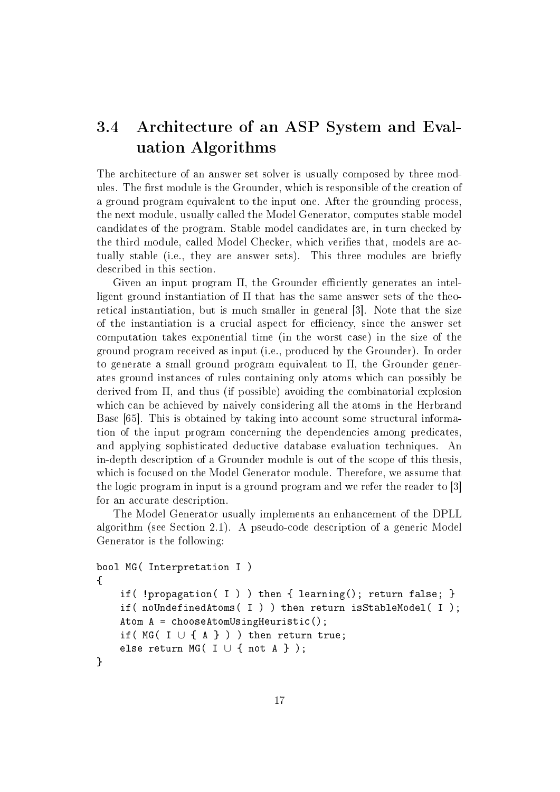# 3.4 Architecture of an ASP System and Evaluation Algorithms

The architecture of an answer set solver is usually composed by three modules. The first module is the Grounder, which is responsible of the creation of a ground program equivalent to the input one. After the grounding process, the next module, usually called the Model Generator, computes stable model candidates of the program. Stable model candidates are, in turn checked by the third module, called Model Checker, which verifies that, models are actually stable (i.e., they are answer sets). This three modules are briefly described in this section.

Given an input program  $\Pi$ , the Grounder efficiently generates an intelligent ground instantiation of  $\Pi$  that has the same answer sets of the theoretical instantiation, but is much smaller in general [3]. Note that the size of the instantiation is a crucial aspect for efficiency, since the answer set computation takes exponential time (in the worst case) in the size of the ground program received as input (i.e., produced by the Grounder). In order to generate a small ground program equivalent to Π, the Grounder generates ground instances of rules containing only atoms which can possibly be derived from  $\Pi$ , and thus (if possible) avoiding the combinatorial explosion which can be achieved by naively considering all the atoms in the Herbrand Base [65]. This is obtained by taking into account some structural information of the input program concerning the dependencies among predicates, and applying sophisticated deductive database evaluation techniques. An in-depth description of a Grounder module is out of the scope of this thesis, which is focused on the Model Generator module. Therefore, we assume that the logic program in input is a ground program and we refer the reader to [3] for an accurate description.

The Model Generator usually implements an enhancement of the DPLL algorithm (see Section 2.1). A pseudo-code description of a generic Model Generator is the following:

```
bool MG( Interpretation I )
{
    if( !propagation( I ) ) then { learning(); return false; }
    if( noUndefinedAtoms( I ) ) then return isStableModel( I );
    Atom A = chooseAtomUsingHeuristic();
    if( MG([ I \cup \{ A \} ) ) ) then return true;
    else return MG( I \cup \{ \text{not } A \} );
}
```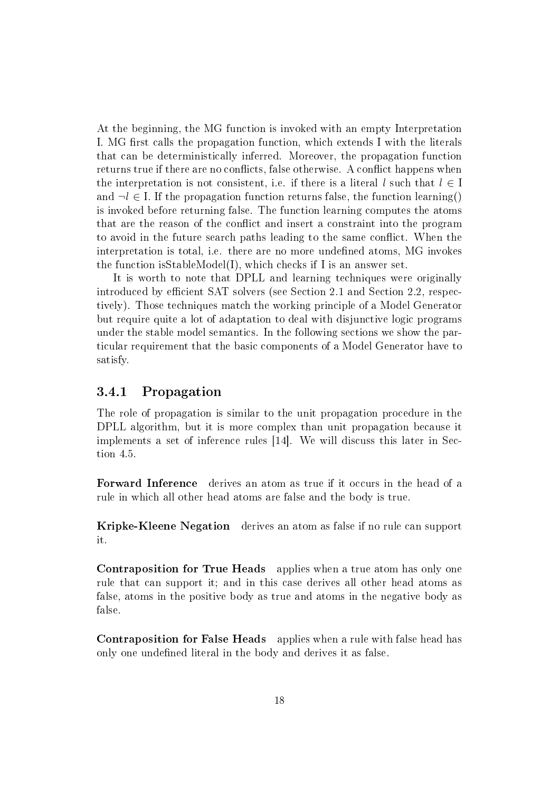At the beginning, the MG function is invoked with an empty Interpretation I. MG first calls the propagation function, which extends I with the literals that can be deterministically inferred. Moreover, the propagation function returns true if there are no conflicts, false otherwise. A conflict happens when the interpretation is not consistent, i.e. if there is a literal l such that  $l \in I$ and  $\neg l \in I$ . If the propagation function returns false, the function learning() is invoked before returning false. The function learning computes the atoms that are the reason of the conflict and insert a constraint into the program to avoid in the future search paths leading to the same conflict. When the interpretation is total, i.e. there are no more undefined atoms, MG invokes the function isStableModel(I), which checks if I is an answer set.

It is worth to note that DPLL and learning techniques were originally introduced by efficient SAT solvers (see Section 2.1 and Section 2.2, respectively). Those techniques match the working principle of a Model Generator but require quite a lot of adaptation to deal with disjunctive logic programs under the stable model semantics. In the following sections we show the particular requirement that the basic components of a Model Generator have to satisfy.

#### 3.4.1 Propagation

The role of propagation is similar to the unit propagation procedure in the DPLL algorithm, but it is more complex than unit propagation because it implements a set of inference rules [14]. We will discuss this later in Section 4.5.

Forward Inference derives an atom as true if it occurs in the head of a rule in which all other head atoms are false and the body is true.

Kripke-Kleene Negation derives an atom as false if no rule can support it.

Contraposition for True Heads applies when a true atom has only one rule that can support it; and in this case derives all other head atoms as false, atoms in the positive body as true and atoms in the negative body as false.

Contraposition for False Heads applies when a rule with false head has only one undefined literal in the body and derives it as false.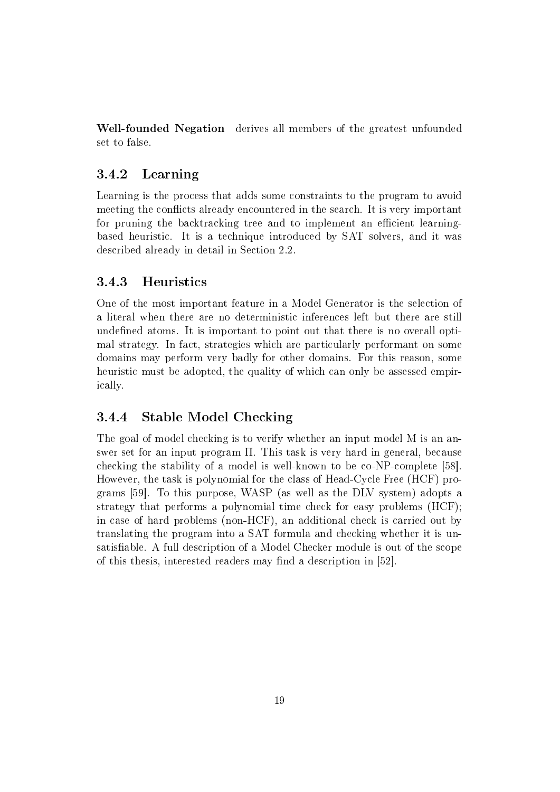Well-founded Negation derives all members of the greatest unfounded set to false.

#### 3.4.2 Learning

Learning is the process that adds some constraints to the program to avoid meeting the conflicts already encountered in the search. It is very important for pruning the backtracking tree and to implement an efficient learningbased heuristic. It is a technique introduced by SAT solvers, and it was described already in detail in Section 2.2.

#### 3.4.3 Heuristics

One of the most important feature in a Model Generator is the selection of a literal when there are no deterministic inferences left but there are still undefined atoms. It is important to point out that there is no overall optimal strategy. In fact, strategies which are particularly performant on some domains may perform very badly for other domains. For this reason, some heuristic must be adopted, the quality of which can only be assessed empirically.

#### 3.4.4 Stable Model Checking

The goal of model checking is to verify whether an input model M is an answer set for an input program Π. This task is very hard in general, because checking the stability of a model is well-known to be co-NP-complete [58]. However, the task is polynomial for the class of Head-Cycle Free (HCF) programs [59]. To this purpose, WASP (as well as the DLV system) adopts a strategy that performs a polynomial time check for easy problems (HCF); in case of hard problems (non-HCF), an additional check is carried out by translating the program into a SAT formula and checking whether it is unsatisfiable. A full description of a Model Checker module is out of the scope of this thesis, interested readers may find a description in [52].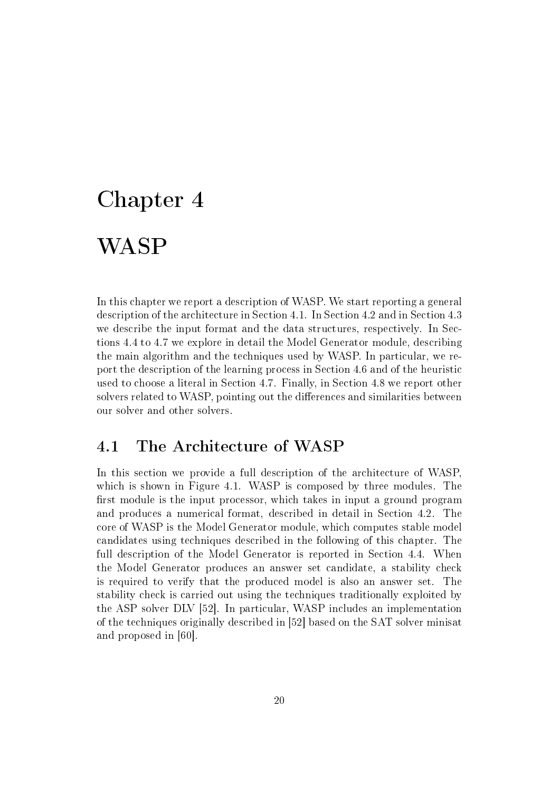# Chapter 4 WASP

In this chapter we report a description of WASP. We start reporting a general description of the architecture in Section 4.1. In Section 4.2 and in Section 4.3 we describe the input format and the data structures, respectively. In Sections 4.4 to 4.7 we explore in detail the Model Generator module, describing the main algorithm and the techniques used by WASP. In particular, we report the description of the learning process in Section 4.6 and of the heuristic used to choose a literal in Section 4.7. Finally, in Section 4.8 we report other solvers related to WASP, pointing out the differences and similarities between our solver and other solvers.

# 4.1 The Architecture of WASP

In this section we provide a full description of the architecture of WASP, which is shown in Figure 4.1. WASP is composed by three modules. The first module is the input processor, which takes in input a ground program and produces a numerical format, described in detail in Section 4.2. The core of WASP is the Model Generator module, which computes stable model candidates using techniques described in the following of this chapter. The full description of the Model Generator is reported in Section 4.4. When the Model Generator produces an answer set candidate, a stability check is required to verify that the produced model is also an answer set. The stability check is carried out using the techniques traditionally exploited by the ASP solver DLV [52]. In particular, WASP includes an implementation of the techniques originally described in [52] based on the SAT solver minisat and proposed in [60].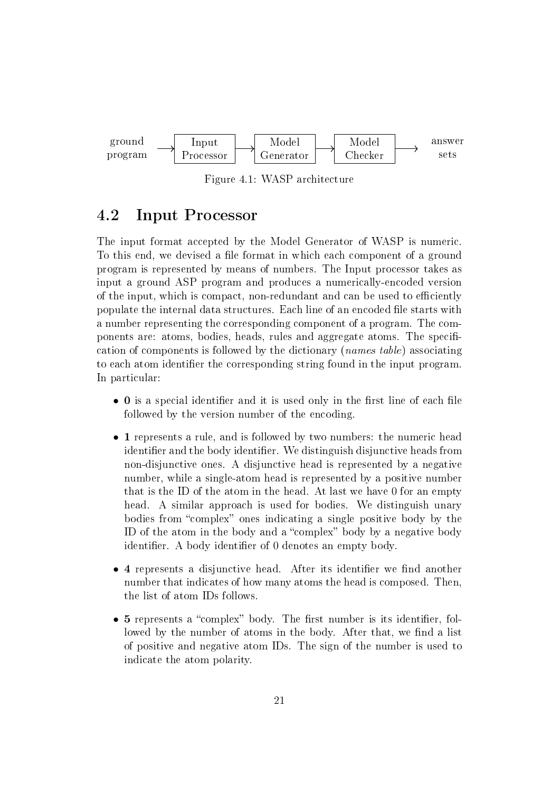

Figure 4.1: WASP architecture

## 4.2 Input Processor

The input format accepted by the Model Generator of WASP is numeric. To this end, we devised a file format in which each component of a ground program is represented by means of numbers. The Input processor takes as input a ground ASP program and produces a numerically-encoded version of the input, which is compact, non-redundant and can be used to efficiently populate the internal data structures. Each line of an encoded file starts with a number representing the corresponding component of a program. The components are: atoms, bodies, heads, rules and aggregate atoms. The specification of components is followed by the dictionary (names table) associating to each atom identifier the corresponding string found in the input program. In particular:

- $\bullet$  0 is a special identifier and it is used only in the first line of each file followed by the version number of the encoding.
- 1 represents a rule, and is followed by two numbers: the numeric head identifier and the body identifier. We distinguish disjunctive heads from non-disjunctive ones. A disjunctive head is represented by a negative number, while a single-atom head is represented by a positive number that is the ID of the atom in the head. At last we have 0 for an empty head. A similar approach is used for bodies. We distinguish unary bodies from "complex" ones indicating a single positive body by the ID of the atom in the body and a "complex" body by a negative body identifier. A body identifier of 0 denotes an empty body.
- 4 represents a disjunctive head. After its identifier we find another number that indicates of how many atoms the head is composed. Then, the list of atom IDs follows.
- $\bullet$  5 represents a "complex" body. The first number is its identifier, followed by the number of atoms in the body. After that, we find a list of positive and negative atom IDs. The sign of the number is used to indicate the atom polarity.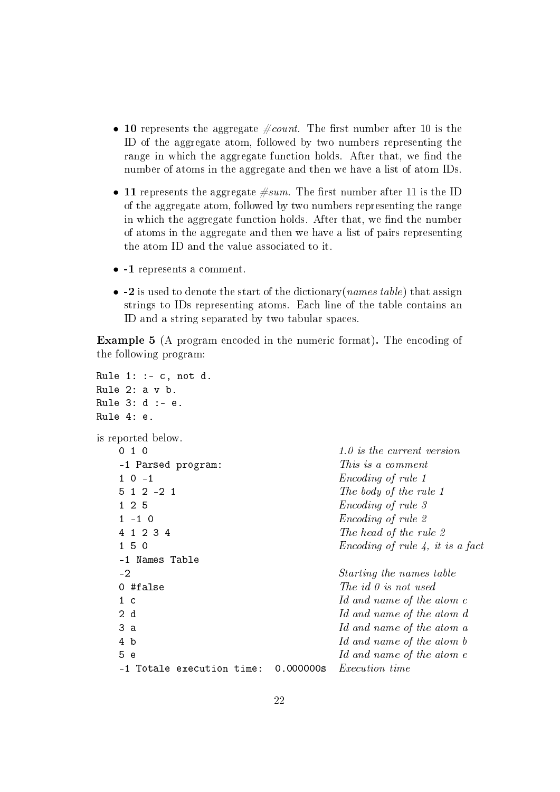- 10 represents the aggregate  $\text{\#count}$ . The first number after 10 is the ID of the aggregate atom, followed by two numbers representing the range in which the aggregate function holds. After that, we find the number of atoms in the aggregate and then we have a list of atom IDs.
- 11 represents the aggregate  $\#sum$ . The first number after 11 is the ID of the aggregate atom, followed by two numbers representing the range in which the aggregate function holds. After that, we find the number of atoms in the aggregate and then we have a list of pairs representing the atom ID and the value associated to it.
- -1 represents a comment.
- $-2$  is used to denote the start of the dictionary (*names table*) that assign strings to IDs representing atoms. Each line of the table contains an ID and a string separated by two tabular spaces.

Example 5 (A program encoded in the numeric format). The encoding of the following program:

```
Rule 1: := c, not d.
Rule 2: a v b.
Rule 3: d :- e.
Rule 4: e.
is reported below.
   \begin{array}{ccc} 0 & 1 & 0 \end{array} \begin{array}{ccc} 0 & 1 & 0 \end{array} \begin{array}{ccc} 1 & 0 & 1 \end{array} is the current version
   -1 Parsed program: This is a comment
   1 \t0 \t-1 Encoding of rule 1
   5 \t1 \t2 \t-2 \t1 The body of the rule 1
   1 2 5 Encoding of rule 3
   1 - 1 0 Encoding of rule 2
   4 \t1 \t2 \t3 \t4 The head of the rule 2
   1 \t5 \t0 Encoding of rule 4, it is a fact
   -1 Names Table
   -2 Starting the names table
   0 #false The\ id\ 0\ is\ not\ used1 c Id and name of the atom c
   2 d 1d and name of the atom d
  3 a Id and name of the atom a
  4 b Id and name of the atom b
   5 e Id and name of the atom e-1 Totale execution time: 0.000000s Execution time
```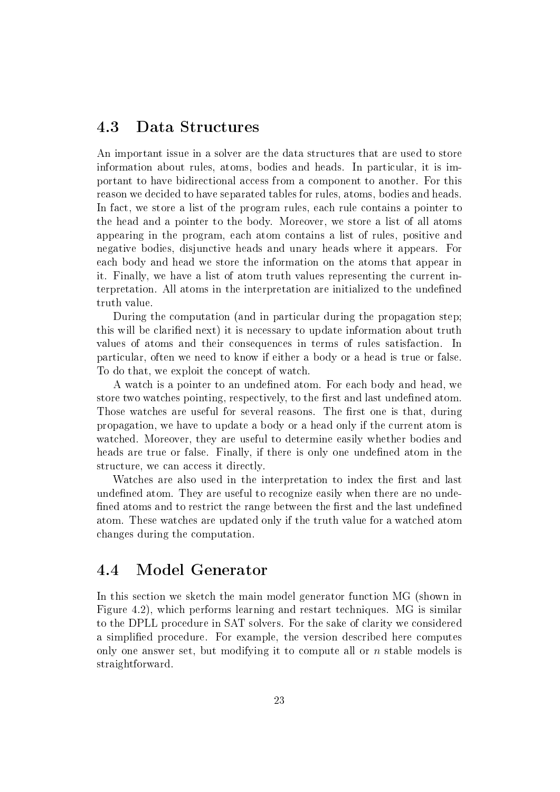## 4.3 Data Structures

An important issue in a solver are the data structures that are used to store information about rules, atoms, bodies and heads. In particular, it is important to have bidirectional access from a component to another. For this reason we decided to have separated tables for rules, atoms, bodies and heads. In fact, we store a list of the program rules, each rule contains a pointer to the head and a pointer to the body. Moreover, we store a list of all atoms appearing in the program, each atom contains a list of rules, positive and negative bodies, disjunctive heads and unary heads where it appears. For each body and head we store the information on the atoms that appear in it. Finally, we have a list of atom truth values representing the current interpretation. All atoms in the interpretation are initialized to the undened truth value.

During the computation (and in particular during the propagation step; this will be clarified next) it is necessary to update information about truth values of atoms and their consequences in terms of rules satisfaction. In particular, often we need to know if either a body or a head is true or false. To do that, we exploit the concept of watch.

A watch is a pointer to an undefined atom. For each body and head, we store two watches pointing, respectively, to the first and last undefined atom. Those watches are useful for several reasons. The first one is that, during propagation, we have to update a body or a head only if the current atom is watched. Moreover, they are useful to determine easily whether bodies and heads are true or false. Finally, if there is only one undefined atom in the structure, we can access it directly.

Watches are also used in the interpretation to index the first and last undefined atom. They are useful to recognize easily when there are no undefined atoms and to restrict the range between the first and the last undefined atom. These watches are updated only if the truth value for a watched atom changes during the computation.

### 4.4 Model Generator

In this section we sketch the main model generator function MG (shown in Figure 4.2), which performs learning and restart techniques. MG is similar to the DPLL procedure in SAT solvers. For the sake of clarity we considered a simplied procedure. For example, the version described here computes only one answer set, but modifying it to compute all or  $n$  stable models is straightforward.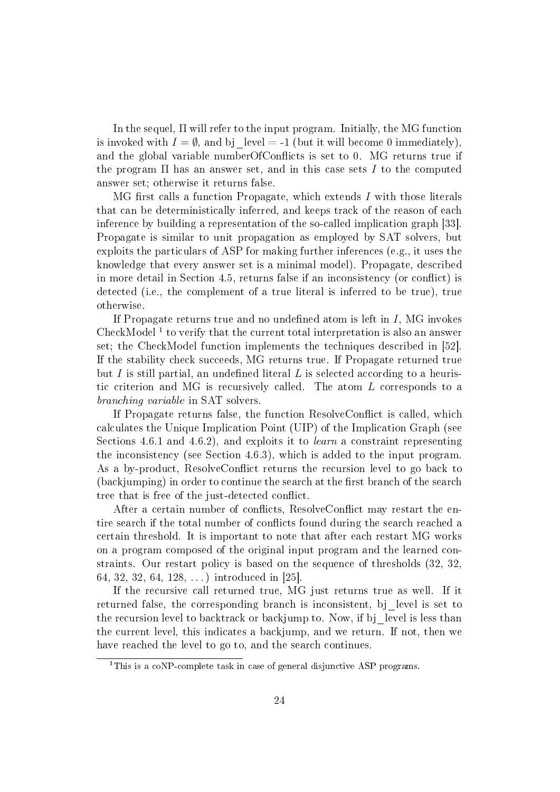In the sequel, Π will refer to the input program. Initially, the MG function is invoked with  $I = \emptyset$ , and bj level = -1 (but it will become 0 immediately). and the global variable numberOfConflicts is set to  $0$ . MG returns true if the program  $\Pi$  has an answer set, and in this case sets  $I$  to the computed answer set; otherwise it returns false.

MG first calls a function Propagate, which extends  $I$  with those literals that can be deterministically inferred, and keeps track of the reason of each inference by building a representation of the so-called implication graph [33]. Propagate is similar to unit propagation as employed by SAT solvers, but exploits the particulars of ASP for making further inferences (e.g., it uses the knowledge that every answer set is a minimal model). Propagate, described in more detail in Section 4.5, returns false if an inconsistency (or conflict) is detected (i.e., the complement of a true literal is inferred to be true), true otherwise.

If Propagate returns true and no undefined atom is left in  $I$ , MG invokes CheckModel<sup>1</sup> to verify that the current total interpretation is also an answer set; the CheckModel function implements the techniques described in [52]. If the stability check succeeds, MG returns true. If Propagate returned true but I is still partial, an undefined literal L is selected according to a heuristic criterion and MG is recursively called. The atom L corresponds to a branching variable in SAT solvers.

If Propagate returns false, the function ResolveConflict is called, which calculates the Unique Implication Point (UIP) of the Implication Graph (see Sections 4.6.1 and 4.6.2), and exploits it to learn a constraint representing the inconsistency (see Section 4.6.3), which is added to the input program. As a by-product, ResolveConflict returns the recursion level to go back to (backjumping) in order to continue the search at the first branch of the search tree that is free of the just-detected conflict.

After a certain number of conflicts, ResolveConflict may restart the entire search if the total number of conflicts found during the search reached a certain threshold. It is important to note that after each restart MG works on a program composed of the original input program and the learned constraints. Our restart policy is based on the sequence of thresholds (32, 32, 64, 32, 32, 64, 128, . . . ) introduced in [25].

If the recursive call returned true, MG just returns true as well. If it returned false, the corresponding branch is inconsistent, bj\_level is set to the recursion level to backtrack or backjump to. Now, if bj level is less than the current level, this indicates a backjump, and we return. If not, then we have reached the level to go to, and the search continues.

<sup>&</sup>lt;sup>1</sup>This is a coNP-complete task in case of general disjunctive ASP programs.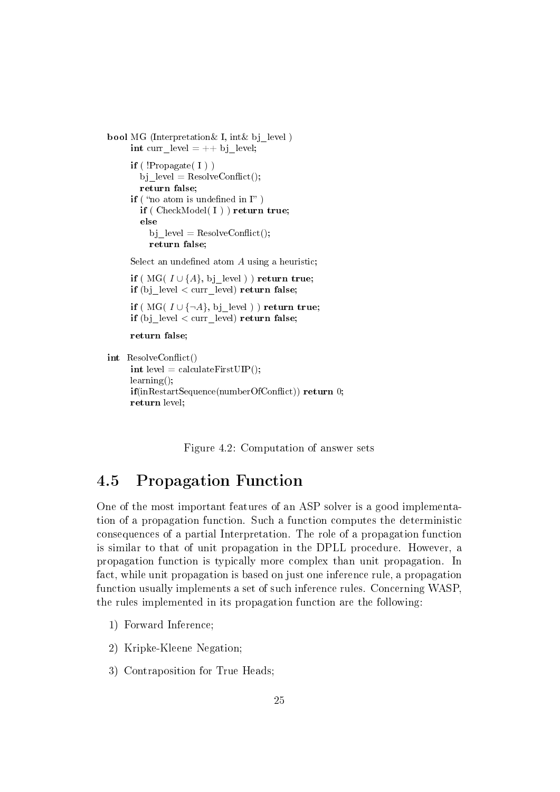```
bool MG (Interpretation & I, int & bj level)
     int curr_level = ++ bj_level;
     if ('Propagate('I'))bj level = ResolveConfict();return false;
     if ("no atom is undefined in \Gamma")
        if ( CheckModel( I ) ) return true;
        else
          bj level = ResolveConflict();return false;
      Select an undefined atom A using a heuristic;
      if ( MG( I \cup \{A\}, bj level ) ) return true;
     if (bj level < curr level) return false;
     if ( MG( I \cup \{\neg A\}, bj_level ) ) return true;
     if (bj level < curr level) return false;
     return false;
int ResolveConflict()
     int level = calculateFirstUIP();
     learning();
     \textbf{if}(\text{inRestartSequence}(\text{numberOfConflict})) return 0;
```
Figure 4.2: Computation of answer sets

# 4.5 Propagation Function

One of the most important features of an ASP solver is a good implementation of a propagation function. Such a function computes the deterministic consequences of a partial Interpretation. The role of a propagation function is similar to that of unit propagation in the DPLL procedure. However, a propagation function is typically more complex than unit propagation. In fact, while unit propagation is based on just one inference rule, a propagation function usually implements a set of such inference rules. Concerning WASP, the rules implemented in its propagation function are the following:

1) Forward Inference;

return level;

- 2) Kripke-Kleene Negation;
- 3) Contraposition for True Heads;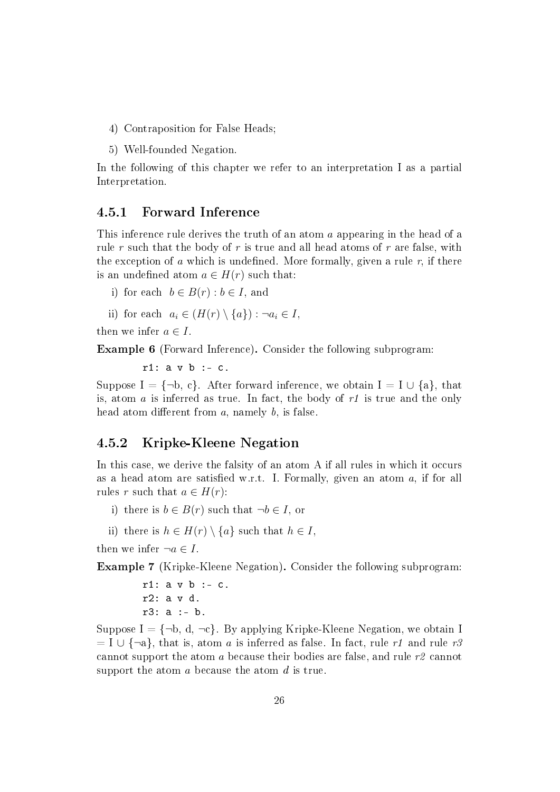- 4) Contraposition for False Heads;
- 5) Well-founded Negation.

In the following of this chapter we refer to an interpretation I as a partial Interpretation.

#### 4.5.1 Forward Inference

This inference rule derives the truth of an atom a appearing in the head of a rule r such that the body of r is true and all head atoms of r are false, with the exception of a which is undefined. More formally, given a rule r, if there is an undefined atom  $a \in H(r)$  such that:

- i) for each  $b \in B(r) : b \in I$ , and
- ii) for each  $a_i \in (H(r) \setminus \{a\}) : \neg a_i \in I$ ,

then we infer  $a \in I$ .

Example 6 (Forward Inference). Consider the following subprogram:

 $r1: a v b : - c.$ 

Suppose I =  $\{\neg b, c\}$ . After forward inference, we obtain I = I  $\cup$  {a}, that is, atom  $a$  is inferred as true. In fact, the body of  $r1$  is true and the only head atom different from  $a$ , namely  $b$ , is false.

#### 4.5.2 Kripke-Kleene Negation

In this case, we derive the falsity of an atom A if all rules in which it occurs as a head atom are satisfied w.r.t. I. Formally, given an atom  $a$ , if for all rules r such that  $a \in H(r)$ :

- i) there is  $b \in B(r)$  such that  $\neg b \in I$ , or
- ii) there is  $h \in H(r) \setminus \{a\}$  such that  $h \in I$ .

then we infer  $\neg a \in I$ .

Example 7 (Kripke-Kleene Negation). Consider the following subprogram:

 $r1: a v b := c.$ r2: a v d. r3: a :- b.

Suppose  $I = \{\neg b, d, \neg c\}$ . By applying Kripke-Kleene Negation, we obtain I  $= I \cup \{\neg a\}$ , that is, atom a is inferred as false. In fact, rule r1 and rule r3 cannot support the atom a because their bodies are false, and rule r2 cannot support the atom a because the atom d is true.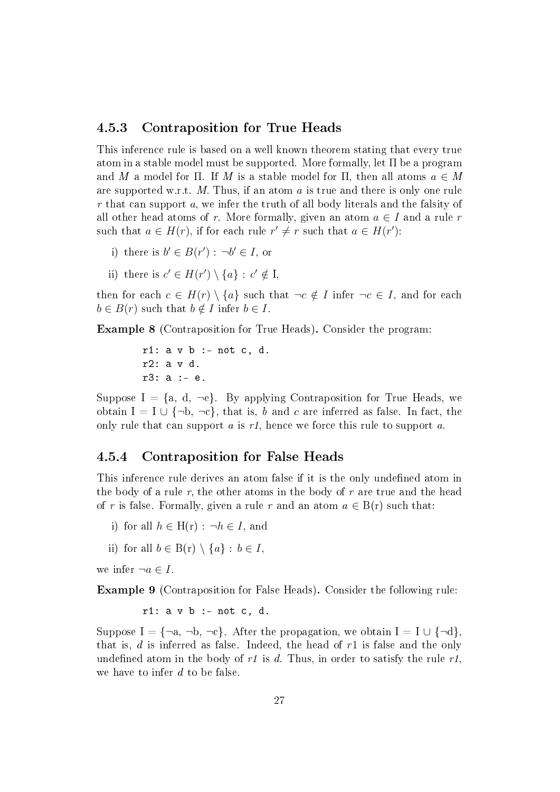#### 4.5.3 Contraposition for True Heads

This inference rule is based on a well known theorem stating that every true atom in a stable model must be supported. More formally, let Π be a program and M a model for  $\Pi$ . If M is a stable model for  $\Pi$ , then all atoms  $a \in M$ are supported w.r.t. M. Thus, if an atom  $a$  is true and there is only one rule r that can support a, we infer the truth of all body literals and the falsity of all other head atoms of r. More formally, given an atom  $a \in I$  and a rule r such that  $a \in H(r)$ , if for each rule  $r' \neq r$  such that  $a \in H(r')$ :

- i) there is  $b' \in B(r') : \neg b' \in I$ , or
- ii) there is  $c' \in H(r') \setminus \{a\} : c' \notin I$ ,

then for each  $c \in H(r) \setminus \{a\}$  such that  $\neg c \notin I$  infer  $\neg c \in I$ , and for each  $b \in B(r)$  such that  $b \notin I$  infer  $b \in I$ .

Example 8 (Contraposition for True Heads). Consider the program:

 $r1: a \, v \, b : - \text{not } c, d.$ r2: a v d. r3: a :- e.

Suppose  $I = \{a, d, \neg e\}$ . By applying Contraposition for True Heads, we obtain  $I = I \cup \{\neg b, \neg c\}$ , that is, b and c are inferred as false. In fact, the only rule that can support  $a$  is  $r_1$ , hence we force this rule to support  $a$ .

#### 4.5.4 Contraposition for False Heads

This inference rule derives an atom false if it is the only undefined atom in the body of a rule  $r$ , the other atoms in the body of  $r$  are true and the head of r is false. Formally, given a rule r and an atom  $a \in B(r)$  such that:

- i) for all  $h \in H(r) : \neg h \in I$ , and
- ii) for all  $b \in B(r) \setminus \{a\} : b \in I$ ,

we infer  $\neg a \in I$ .

Example 9 (Contraposition for False Heads). Consider the following rule:

 $r1: a v b : - not c, d.$ 

Suppose I = {¬a, ¬b, ¬c}. After the propagation, we obtain I = I  $\cup$  {¬d}, that is,  $d$  is inferred as false. Indeed, the head of  $r1$  is false and the only undefined atom in the body of  $r1$  is d. Thus, in order to satisfy the rule  $r1$ . we have to infer d to be false.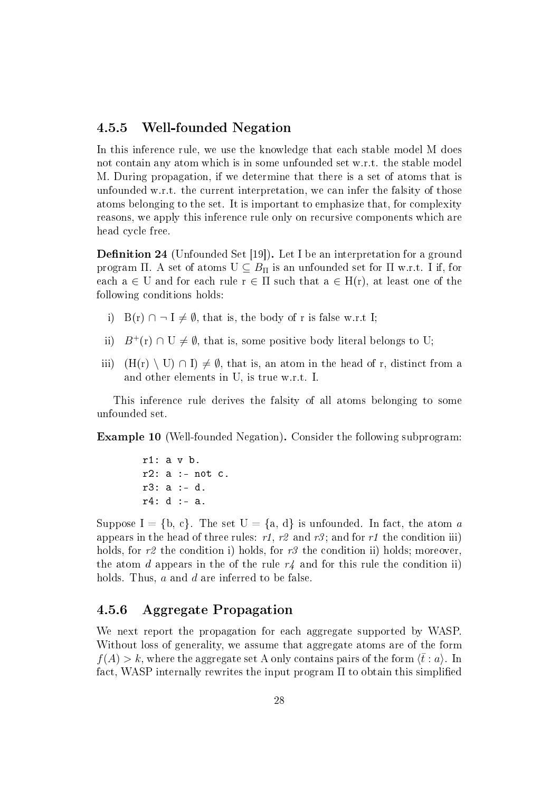#### 4.5.5 Well-founded Negation

In this inference rule, we use the knowledge that each stable model M does not contain any atom which is in some unfounded set w.r.t. the stable model M. During propagation, if we determine that there is a set of atoms that is unfounded w.r.t. the current interpretation, we can infer the falsity of those atoms belonging to the set. It is important to emphasize that, for complexity reasons, we apply this inference rule only on recursive components which are head cycle free.

**Definition 24** (Unfounded Set [19]). Let I be an interpretation for a ground program Π. A set of atoms  $U \subseteq B_{\Pi}$  is an unfounded set for  $\Pi$  w.r.t. I if, for each  $a \in U$  and for each rule  $r \in \Pi$  such that  $a \in H(r)$ , at least one of the following conditions holds:

- i) B(r)  $\cap \neg I \neq \emptyset$ , that is, the body of r is false w.r.t I;
- ii)  $B^+(r) \cap U \neq \emptyset$ , that is, some positive body literal belongs to U;
- iii)  $(H(r) \setminus U) \cap I$   $\neq \emptyset$ , that is, an atom in the head of r, distinct from a and other elements in U, is true w.r.t. I.

This inference rule derives the falsity of all atoms belonging to some unfounded set.

Example 10 (Well-founded Negation). Consider the following subprogram:

r1: a v b.  $r2: a : - not c.$ r3: a :- d. r4: d :- a.

Suppose  $I = \{b, c\}$ . The set  $U = \{a, d\}$  is unfounded. In fact, the atom a appears in the head of three rules: r1, r2 and r3; and for r1 the condition iii) holds, for r2 the condition i) holds, for r3 the condition ii) holds; moreover, the atom d appears in the of the rule  $r_4$  and for this rule the condition ii) holds. Thus, a and d are inferred to be false.

#### 4.5.6 Aggregate Propagation

We next report the propagation for each aggregate supported by WASP. Without loss of generality, we assume that aggregate atoms are of the form  $f(A) > k$ , where the aggregate set A only contains pairs of the form  $\langle \bar{t} : a \rangle$ . In fact, WASP internally rewrites the input program  $\Pi$  to obtain this simplified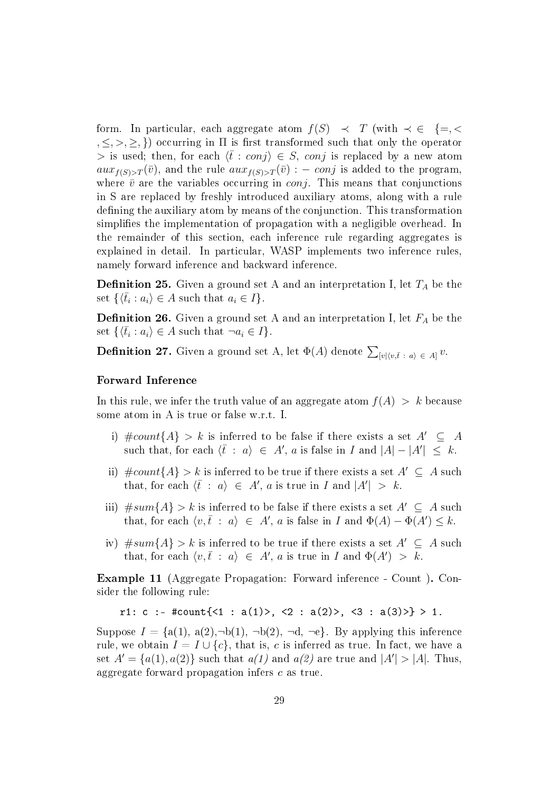form. In particular, each aggregate atom  $f(S) \prec T$  (with  $\prec \in \{=,<\}$  $,\leq,>,\geq,\}$  occurring in  $\Pi$  is first transformed such that only the operator > is used; then, for each  $\langle \bar{t} : conj \rangle \in S$ , conj is replaced by a new atom  $aux_{f(S) > T}(\bar{v})$ , and the rule  $aux_{f(S) > T}(\bar{v})$  : – conj is added to the program, where  $\bar{v}$  are the variables occurring in *conj*. This means that conjunctions in S are replaced by freshly introduced auxiliary atoms, along with a rule defining the auxiliary atom by means of the conjunction. This transformation simplifies the implementation of propagation with a negligible overhead. In the remainder of this section, each inference rule regarding aggregates is explained in detail. In particular, WASP implements two inference rules, namely forward inference and backward inference.

**Definition 25.** Given a ground set A and an interpretation I, let  $T_A$  be the set  $\{\langle \bar{t}_i : a_i \rangle \in A \text{ such that } a_i \in I\}.$ 

**Definition 26.** Given a ground set A and an interpretation I, let  $F_A$  be the set  $\{\langle \bar{t}_i : a_i \rangle \in A \text{ such that } \neg a_i \in I\}.$ 

**Definition 27.** Given a ground set A, let  $\Phi(A)$  denote  $\sum_{[v](v,\bar{t} \; : \; a\rangle \; \in \; A]} v.$ 

#### Forward Inference

In this rule, we infer the truth value of an aggregate atom  $f(A) > k$  because some atom in A is true or false w.r.t. I.

- i)  $\text{\#count}{A} > k$  is inferred to be false if there exists a set  $A' \subseteq A$ such that, for each  $\langle \bar{t} : a \rangle \in A'$ , a is false in I and  $|A| - |A'| \leq k$ .
- ii)  $\text{\#count}{A} > k$  is inferred to be true if there exists a set  $A' \subseteq A$  such that, for each  $\langle \bar{t} : a \rangle \in A'$ , a is true in I and  $|A'| > k$ .
- iii)  $#sum{A} > k$  is inferred to be false if there exists a set  $A' \subseteq A$  such that, for each  $\langle v, \bar{t} : a \rangle \in A'$ , a is false in I and  $\Phi(A) - \Phi(A') \leq k$ .
- iv)  $#sum{A} > k$  is inferred to be true if there exists a set  $A' \subseteq A$  such that, for each  $\langle v, \bar{t} : a \rangle \in A'$ , a is true in I and  $\Phi(A') > k$ .

Example 11 (Aggregate Propagation: Forward inference - Count ). Consider the following rule:

```
r1: c :- #count{<1 : a(1)>, <2 : a(2)>, <3 : a(3)>} > 1.
```
Suppose  $I = \{a(1), a(2), \neg b(1), \neg b(2), \neg d, \neg e\}$ . By applying this inference rule, we obtain  $I = I \cup \{c\}$ , that is, c is inferred as true. In fact, we have a set  $A' = \{a(1), a(2)\}\$  such that  $a(1)$  and  $a(2)$  are true and  $|A'| > |A|$ . Thus, aggregate forward propagation infers c as true.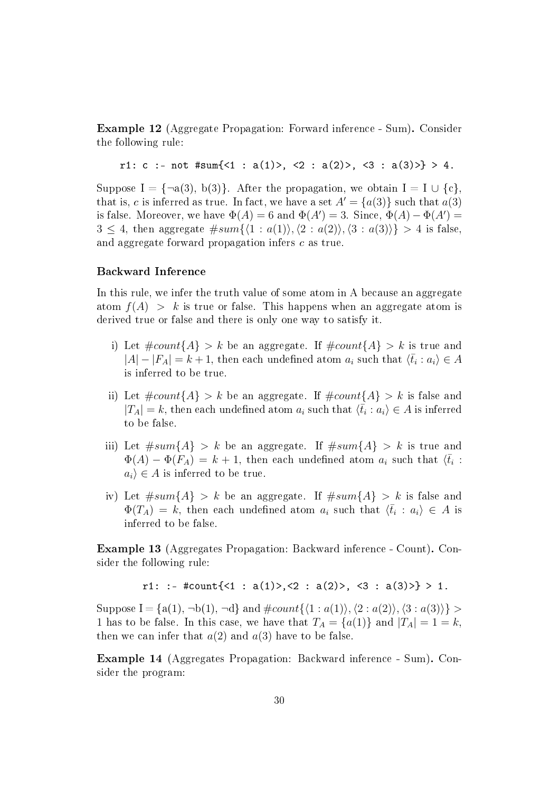Example 12 (Aggregate Propagation: Forward inference - Sum). Consider the following rule:

```
r1: c :- not #sum{<1 : a(1)>, <2 : a(2)>, <3 : a(3)>} > 4.
```
Suppose I =  $\{\neg a(3), b(3)\}\$ . After the propagation, we obtain I = I  $\cup \{c\}$ . that is, c is inferred as true. In fact, we have a set  $A' = \{a(3)\}\$  such that  $a(3)$ is false. Moreover, we have  $\Phi(A) = 6$  and  $\Phi(A') = 3$ . Since,  $\Phi(A) - \Phi(A') = 6$  $3 \leq 4$ , then aggregate  $#sum{\langle 1 : a(1) \rangle}, \langle 2 : a(2) \rangle, \langle 3 : a(3) \rangle} > 4$  is false, and aggregate forward propagation infers c as true.

#### Backward Inference

In this rule, we infer the truth value of some atom in A because an aggregate atom  $f(A) > k$  is true or false. This happens when an aggregate atom is derived true or false and there is only one way to satisfy it.

- i) Let  $\text{\#count}\{A\} > k$  be an aggregate. If  $\text{\#count}\{A\} > k$  is true and  $|A| - |F_A| = k + 1$ , then each undefined atom  $a_i$  such that  $\langle \bar{t}_i : a_i \rangle \in A$ is inferred to be true.
- ii) Let  $\text{\#count}\{A\} > k$  be an aggregate. If  $\text{\#count}\{A\} > k$  is false and  $|T_A| = k$ , then each undefined atom  $a_i$  such that  $\langle \bar{t}_i : a_i \rangle \in A$  is inferred to be false.
- iii) Let  $#sum{A} > k$  be an aggregate. If  $#sum{A} > k$  is true and  $\Phi(A) - \Phi(F_A) = k + 1$ , then each undefined atom  $a_i$  such that  $\langle \bar{t}_i$ :  $a_i \in A$  is inferred to be true.
- iv) Let  $#sum{A} > k$  be an aggregate. If  $#sum{A} > k$  is false and  $\Phi(T_A) = k$ , then each undefined atom  $a_i$  such that  $\langle \bar{t}_i : a_i \rangle \in A$  is inferred to be false.

Example 13 (Aggregates Propagation: Backward inference - Count). Consider the following rule:

r1: :- #count $\{\langle 1 : a(1) \rangle, \langle 2 : a(2) \rangle, \langle 3 : a(3) \rangle\} > 1$ .

Suppose I = {a(1),  $\neg b(1)$ ,  $\neg d$ } and  $\#count({1 : a(1)},\{2 : a(2)\},\{3 : a(3)\}\$ 1 has to be false. In this case, we have that  $T_A = \{a(1)\}\$  and  $|T_A| = 1 = k$ . then we can infer that  $a(2)$  and  $a(3)$  have to be false.

Example 14 (Aggregates Propagation: Backward inference - Sum). Consider the program: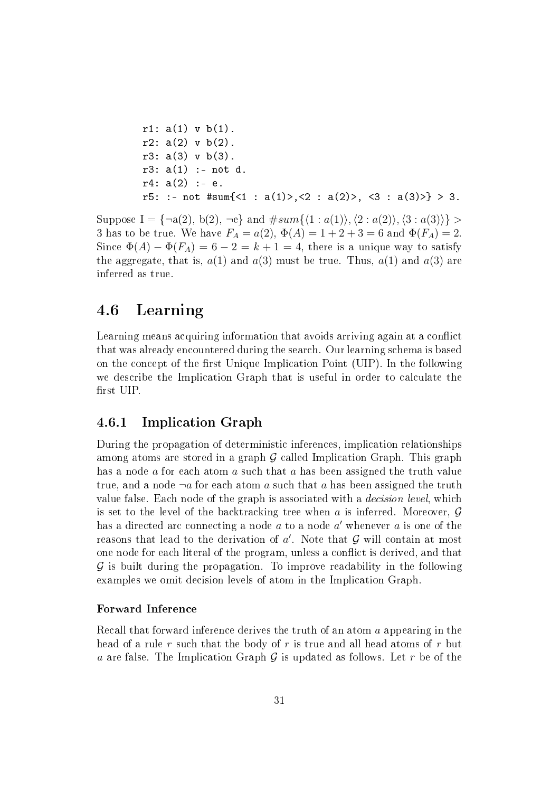r1: a(1) v b(1). r2: a(2) v b(2). r3: a(3) v b(3). r3: a(1) :- not d. r4: a(2) :- e. r5: :- not #sum{<1 : a(1)>,<2 : a(2)>, <3 : a(3)>} > 3.

Suppose  $I = \{\neg a(2), b(2), \neg e\}$  and  $\#sum\{\langle 1 : a(1) \rangle, \langle 2 : a(2) \rangle, \langle 3 : a(3) \rangle\} >$ 3 has to be true. We have  $F_A = a(2), \Phi(A) = 1 + 2 + 3 = 6$  and  $\Phi(F_A) = 2$ . Since  $\Phi(A) - \Phi(F_A) = 6 - 2 = k + 1 = 4$ , there is a unique way to satisfy the aggregate, that is,  $a(1)$  and  $a(3)$  must be true. Thus,  $a(1)$  and  $a(3)$  are inferred as true.

### 4.6 Learning

Learning means acquiring information that avoids arriving again at a conflict that was already encountered during the search. Our learning schema is based on the concept of the first Unique Implication Point (UIP). In the following we describe the Implication Graph that is useful in order to calculate the first UIP.

#### 4.6.1 Implication Graph

During the propagation of deterministic inferences, implication relationships among atoms are stored in a graph  $G$  called Implication Graph. This graph has a node a for each atom a such that a has been assigned the truth value true, and a node  $\neg a$  for each atom a such that a has been assigned the truth value false. Each node of the graph is associated with a decision level, which is set to the level of the backtracking tree when a is inferred. Moreover,  $\mathcal G$ has a directed arc connecting a node  $a$  to a node  $a'$  whenever  $a$  is one of the reasons that lead to the derivation of  $a'$ . Note that  $\mathcal G$  will contain at most one node for each literal of the program, unless a conflict is derived, and that  $\mathcal G$  is built during the propagation. To improve readability in the following examples we omit decision levels of atom in the Implication Graph.

#### Forward Inference

Recall that forward inference derives the truth of an atom a appearing in the head of a rule r such that the body of r is true and all head atoms of r but a are false. The Implication Graph  $G$  is updated as follows. Let  $r$  be of the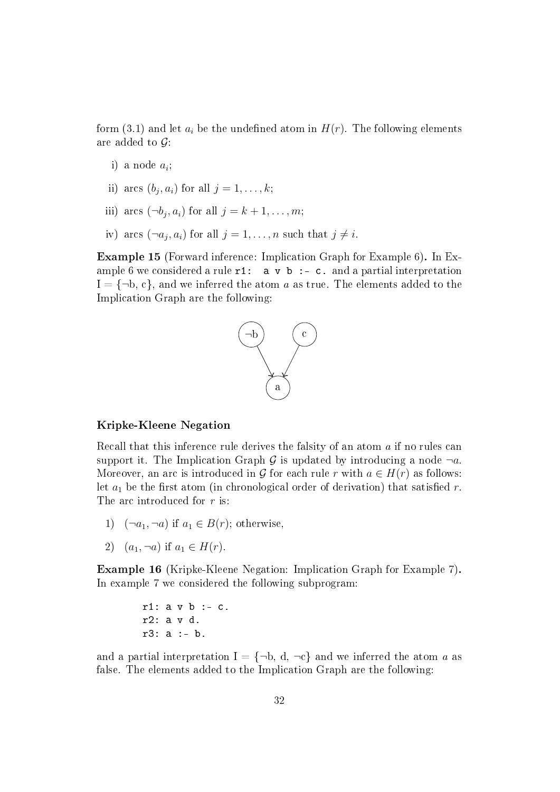form (3.1) and let  $a_i$  be the undefined atom in  $H(r)$ . The following elements are added to  $\mathcal{G}$ :

- i) a node  $a_i$ ;
- ii) arcs  $(b_j, a_i)$  for all  $j = 1, \ldots, k;$
- iii) arcs  $(\neg b_j, a_i)$  for all  $j = k + 1, \ldots, m;$
- iv) arcs  $(\neg a_j, a_i)$  for all  $j = 1, \ldots, n$  such that  $j \neq i$ .

Example 15 (Forward inference: Implication Graph for Example 6). In Example 6 we considered a rule  $r1$ : a v b :- c. and a partial interpretation  $I = \{\neg b, c\}$ , and we inferred the atom a as true. The elements added to the Implication Graph are the following:



#### Kripke-Kleene Negation

Recall that this inference rule derives the falsity of an atom a if no rules can support it. The Implication Graph G is updated by introducing a node  $\neg a$ . Moreover, an arc is introduced in G for each rule r with  $a \in H(r)$  as follows: let  $a_1$  be the first atom (in chronological order of derivation) that satisfied r. The arc introduced for r is:

- 1)  $(\neg a_1, \neg a)$  if  $a_1 \in B(r)$ ; otherwise,
- 2)  $(a_1, \neg a)$  if  $a_1 \in H(r)$ .

Example 16 (Kripke-Kleene Negation: Implication Graph for Example 7). In example 7 we considered the following subprogram:

r1: a v b :- c. r2: a v d. r3: a :- b.

and a partial interpretation  $I = \{\neg b, d, \neg c\}$  and we inferred the atom a as false. The elements added to the Implication Graph are the following: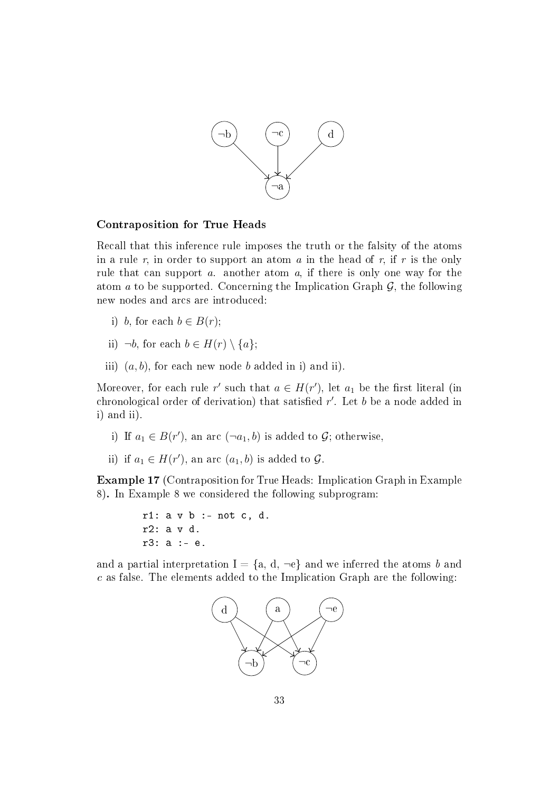

#### Contraposition for True Heads

Recall that this inference rule imposes the truth or the falsity of the atoms in a rule r, in order to support an atom a in the head of r, if r is the only rule that can support a. another atom a, if there is only one way for the atom  $a$  to be supported. Concerning the Implication Graph  $\mathcal{G}$ , the following new nodes and arcs are introduced:

- i) b, for each  $b \in B(r)$ ;
- ii)  $\neg b$ , for each  $b \in H(r) \setminus \{a\};$
- iii)  $(a, b)$ , for each new node b added in i) and ii).

Moreover, for each rule r' such that  $a \in H(r')$ , let  $a_1$  be the first literal (in chronological order of derivation) that satisfied  $r'$ . Let  $b$  be a node added in i) and ii).

- i) If  $a_1 \in B(r')$ , an arc  $(\neg a_1, b)$  is added to  $\mathcal{G}$ ; otherwise,
- ii) if  $a_1 \in H(r')$ , an arc  $(a_1, b)$  is added to  $\mathcal{G}$ .

Example 17 (Contraposition for True Heads: Implication Graph in Example 8). In Example 8 we considered the following subprogram:

r1: a v b :- not c, d. r2: a v d. r3: a :- e.

and a partial interpretation  $I = \{a, d, \neg e\}$  and we inferred the atoms b and c as false. The elements added to the Implication Graph are the following:

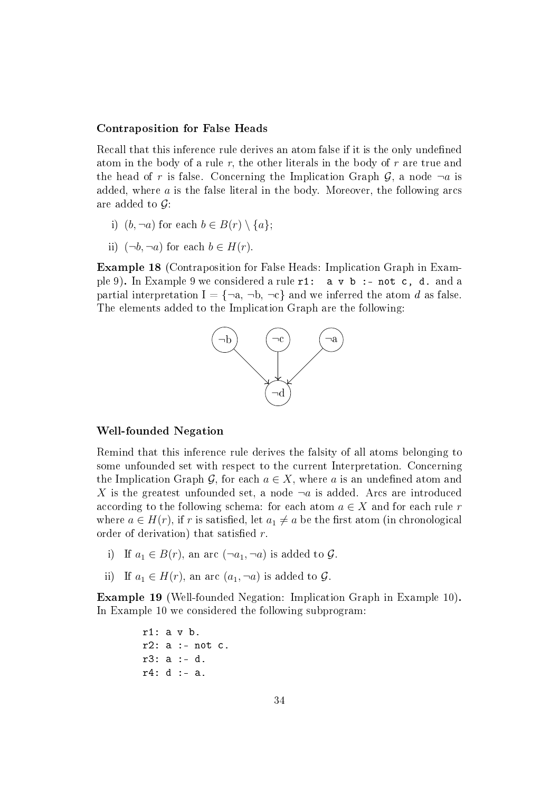#### Contraposition for False Heads

Recall that this inference rule derives an atom false if it is the only undefined atom in the body of a rule r, the other literals in the body of r are true and the head of r is false. Concerning the Implication Graph  $\mathcal{G}$ , a node  $\neg a$  is added, where  $a$  is the false literal in the body. Moreover, the following arcs are added to  $\mathcal{G}$ :

- i)  $(b, \neg a)$  for each  $b \in B(r) \setminus \{a\};$
- ii)  $(\neg b, \neg a)$  for each  $b \in H(r)$ .

Example 18 (Contraposition for False Heads: Implication Graph in Example 9). In Example 9 we considered a rule  $r1$ :  $a \vee b$  :- not c, d. and a partial interpretation  $I = \{\neg a, \neg b, \neg c\}$  and we inferred the atom d as false. The elements added to the Implication Graph are the following:



#### Well-founded Negation

Remind that this inference rule derives the falsity of all atoms belonging to some unfounded set with respect to the current Interpretation. Concerning the Implication Graph G, for each  $a \in X$ , where a is an undefined atom and X is the greatest unfounded set, a node  $\neg a$  is added. Arcs are introduced according to the following schema: for each atom  $a \in X$  and for each rule r where  $a \in H(r)$ , if r is satisfied, let  $a_1 \neq a$  be the first atom (in chronological order of derivation) that satisfied  $r$ .

- i) If  $a_1 \in B(r)$ , an arc  $(\neg a_1, \neg a)$  is added to  $\mathcal{G}$ .
- ii) If  $a_1 \in H(r)$ , an arc  $(a_1, \neg a)$  is added to  $\mathcal{G}$ .

Example 19 (Well-founded Negation: Implication Graph in Example 10). In Example 10 we considered the following subprogram:

> r1: a v b.  $r2: a := not c.$ r3: a :- d. r4: d :- a.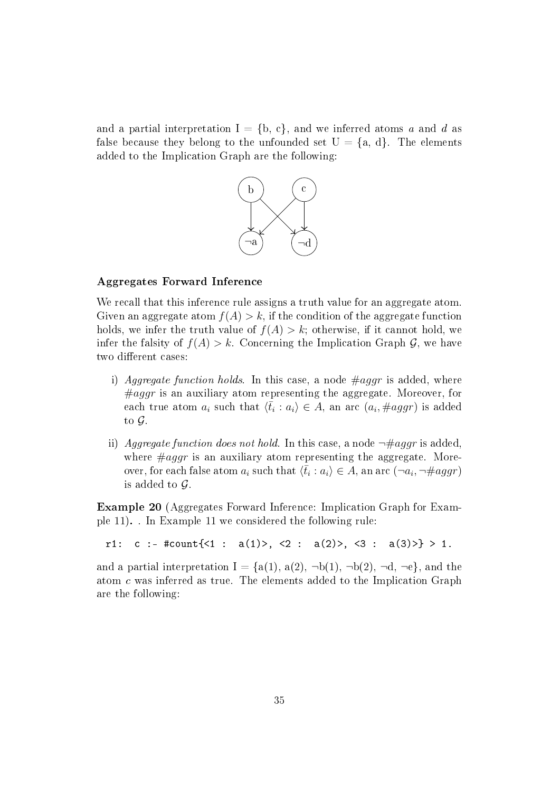and a partial interpretation  $I = \{b, c\}$ , and we inferred atoms a and d as false because they belong to the unfounded set  $U = \{a, d\}$ . The elements added to the Implication Graph are the following:



#### Aggregates Forward Inference

We recall that this inference rule assigns a truth value for an aggregate atom. Given an aggregate atom  $f(A) > k$ , if the condition of the aggregate function holds, we infer the truth value of  $f(A) > k$ ; otherwise, if it cannot hold, we infer the falsity of  $f(A) > k$ . Concerning the Implication Graph G, we have two different cases:

- i) Aggregate function holds. In this case, a node  $\#aggr$  is added, where  $\#aggr$  is an auxiliary atom representing the aggregate. Moreover, for each true atom  $a_i$  such that  $\langle \bar{t}_i : a_i \rangle \in A$ , an arc  $(a_i, \#aggr)$  is added to G.
- ii) Aggregate function does not hold. In this case, a node  $\neg \# aqqr$  is added. where  $\#aggr$  is an auxiliary atom representing the aggregate. Moreover, for each false atom  $a_i$  such that  $\langle \bar{t}_i : a_i \rangle \in A$ , an arc  $(\neg a_i, \neg \#aggr)$ is added to  $\mathcal G$ .

Example 20 (Aggregates Forward Inference: Implication Graph for Example 11). . In Example 11 we considered the following rule:

r1: c :- #count{<1 : a(1)>, <2 : a(2)>, <3 : a(3)>} > 1.

and a partial interpretation  $I = \{a(1), a(2), \neg b(1), \neg b(2), \neg d, \neg e\}$ , and the atom c was inferred as true. The elements added to the Implication Graph are the following: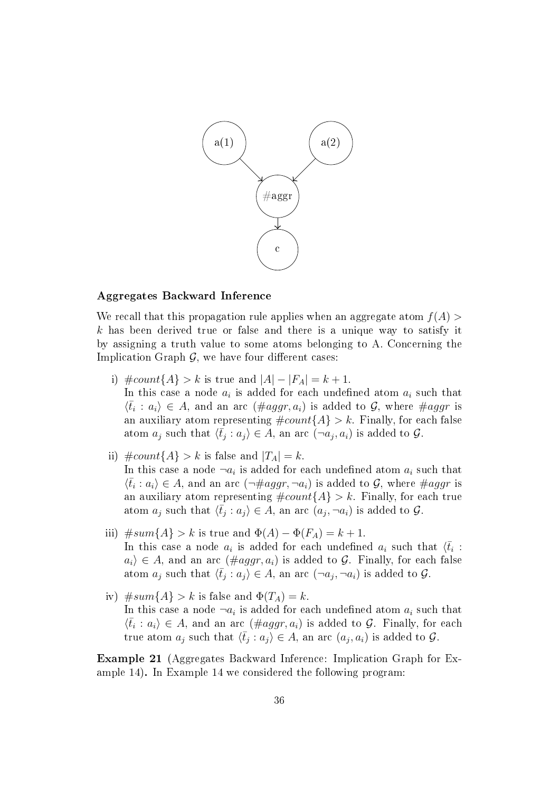

#### Aggregates Backward Inference

We recall that this propagation rule applies when an aggregate atom  $f(A)$  $k$  has been derived true or false and there is a unique way to satisfy it by assigning a truth value to some atoms belonging to A. Concerning the Implication Graph  $G$ , we have four different cases:

- i)  $\text{\#count}{A} > k$  is true and  $|A| |F_A| = k + 1$ . In this case a node  $a_i$  is added for each undefined atom  $a_i$  such that  $\langle \bar{t}_i : a_i \rangle \in A$ , and an arc  $(\#aggr, a_i)$  is added to  $\mathcal{G}$ , where  $\#aggr$  is an auxiliary atom representing  $\text{\#count}\lbrace A \rbrace > k$ . Finally, for each false atom  $a_j$  such that  $\langle \bar{t}_j : a_j \rangle \in A$ , an arc  $(\neg a_j, a_i)$  is added to  $\mathcal{G}$ .
- ii)  $\text{\#count}{A} > k$  is false and  $|T_A| = k$ . In this case a node  $\lnot a_i$  is added for each undefined atom  $a_i$  such that  $\langle \bar{t}_i : a_i \rangle \in A$ , and an arc  $(\neg \#aggr, \neg a_i)$  is added to  $\mathcal{G}$ , where  $\#aggr$  is an auxiliary atom representing  $\text{\#count}\lbrace A \rbrace > k$ . Finally, for each true atom  $a_j$  such that  $\langle \bar{t}_j : a_j \rangle \in A$ , an arc  $(a_j, \neg a_i)$  is added to  $\mathcal{G}$ .
- iii)  $\#sum{A} > k$  is true and  $\Phi(A) \Phi(F_A) = k + 1$ . In this case a node  $a_i$  is added for each undefined  $a_i$  such that  $\langle \bar{t}_i$ :  $a_i \in A$ , and an arc  $(\text{#aggr}, a_i)$  is added to G. Finally, for each false atom  $a_j$  such that  $\langle \bar{t}_j : a_j \rangle \in A$ , an arc  $(\neg a_j, \neg a_i)$  is added to  $\mathcal{G}$ .
- iv)  $#sum{A} > k$  is false and  $\Phi(T_A) = k$ . In this case a node  $\lnot a_i$  is added for each undefined atom  $a_i$  such that  $\langle \bar{t}_i : a_i \rangle \in A$ , and an arc  $(\#aggr, a_i)$  is added to  $\mathcal{G}$ . Finally, for each true atom  $a_j$  such that  $\langle \bar{t}_j : a_j \rangle \in A$ , an arc  $(a_j, a_i)$  is added to  $\mathcal{G}$ .

Example 21 (Aggregates Backward Inference: Implication Graph for Example 14). In Example 14 we considered the following program: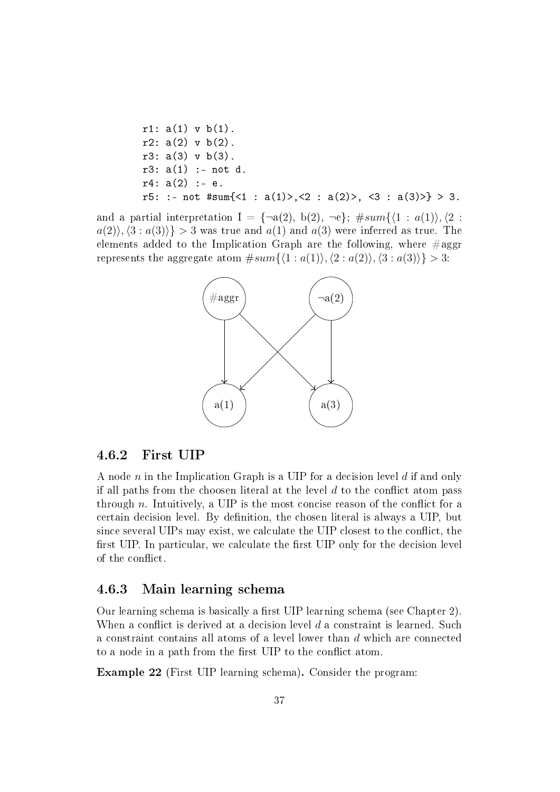r1: 
$$
a(1)
$$
 v b(1).  
\nr2:  $a(2)$  v b(2).  
\nr3:  $a(3)$  v b(3).  
\nr3:  $a(1)$  :- not d.  
\nr4:  $a(2)$  :- e.  
\nr5: :- not #sum{ $(1)$  >,  $(2)$  :  $a(2)$  >,  $(3)$  :  $a(3)$  >} > 3.

and a partial interpretation  $I = {\neg a(2), b(2), \neg e}; \# sum({1 : a(1)}, {2 :}$  $a(2), (3 : a(3))$  > 3 was true and  $a(1)$  and  $a(3)$  were inferred as true. The elements added to the Implication Graph are the following, where  $\#aggr$ represents the aggregate atom  $#sum{\lbrace 1 : a(1), \langle 2 : a(2), \langle 3 : a(3) \rangle \rbrace} > 3$ :



#### 4.6.2 First UIP

A node n in the Implication Graph is a UIP for a decision level  $d$  if and only if all paths from the choosen literal at the level  $d$  to the conflict atom pass through n. Intuitively, a UIP is the most concise reason of the conflict for a certain decision level. By definition, the chosen literal is always a UIP, but since several UIPs may exist, we calculate the UIP closest to the conflict, the first UIP. In particular, we calculate the first UIP only for the decision level of the conflict.

#### 4.6.3 Main learning schema

Our learning schema is basically a first UIP learning schema (see Chapter 2). When a conflict is derived at a decision level  $d$  a constraint is learned. Such a constraint contains all atoms of a level lower than d which are connected to a node in a path from the first UIP to the conflict atom.

Example 22 (First UIP learning schema). Consider the program: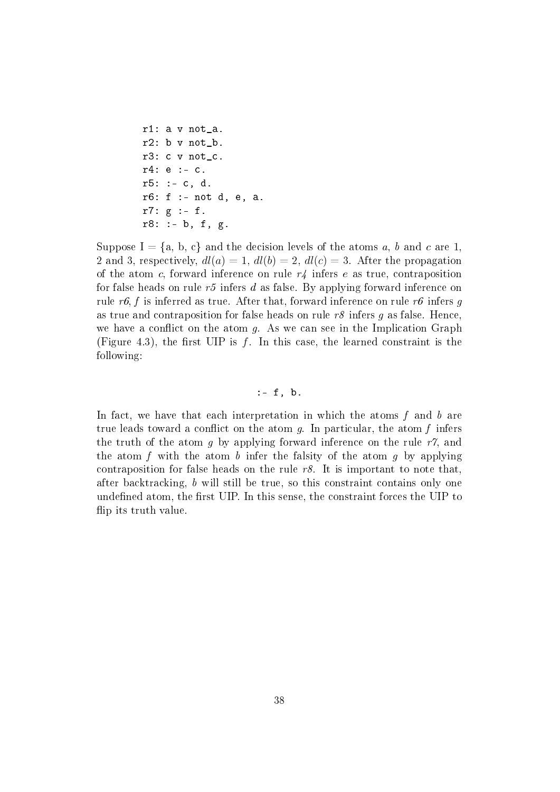```
r1: a v not_a.
r2: b v not_b.
r3: c v not_c.
r4: e :- c.
r5: := c, d.r6: f :- not d, e, a.
r7: g :- f.
r8: := b, f, g.
```
Suppose  $I = \{a, b, c\}$  and the decision levels of the atoms a, b and c are 1. 2 and 3, respectively,  $dl(a) = 1$ ,  $dl(b) = 2$ ,  $dl(c) = 3$ . After the propagation of the atom c, forward inference on rule  $r\phi$  infers e as true, contraposition for false heads on rule  $r5$  infers d as false. By applying forward inference on rule r6, f is inferred as true. After that, forward inference on rule r6 infers g as true and contraposition for false heads on rule  $r\delta$  infers g as false. Hence, we have a conflict on the atom  $q$ . As we can see in the Implication Graph (Figure 4.3), the first UIP is  $f$ . In this case, the learned constraint is the following:

#### $:- f, b.$

In fact, we have that each interpretation in which the atoms  $f$  and  $b$  are true leads toward a conflict on the atom  $q$ . In particular, the atom f infers the truth of the atom q by applying forward inference on the rule  $r\gamma$ , and the atom f with the atom b infer the falsity of the atom g by applying contraposition for false heads on the rule  $r8$ . It is important to note that, after backtracking, b will still be true, so this constraint contains only one undefined atom, the first UIP. In this sense, the constraint forces the UIP to flip its truth value.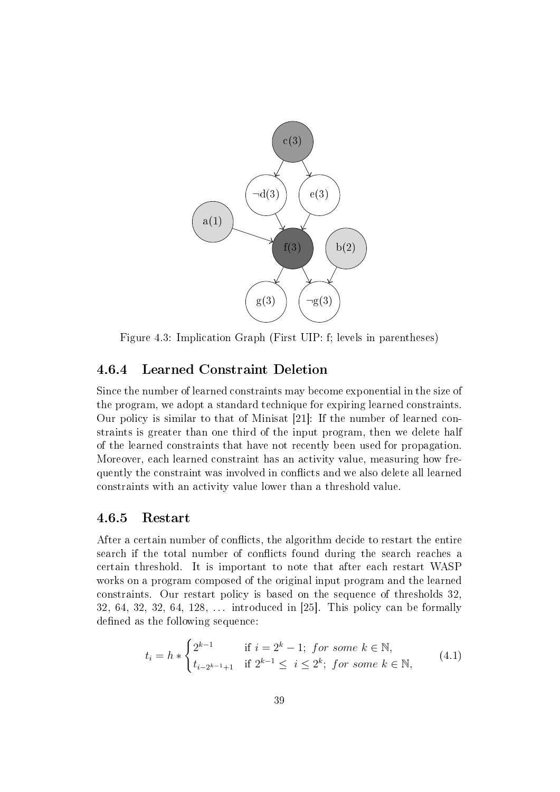

Figure 4.3: Implication Graph (First UIP: f; levels in parentheses)

#### 4.6.4 Learned Constraint Deletion

Since the number of learned constraints may become exponential in the size of the program, we adopt a standard technique for expiring learned constraints. Our policy is similar to that of Minisat [21]: If the number of learned constraints is greater than one third of the input program, then we delete half of the learned constraints that have not recently been used for propagation. Moreover, each learned constraint has an activity value, measuring how frequently the constraint was involved in conflicts and we also delete all learned constraints with an activity value lower than a threshold value.

#### 4.6.5 Restart

After a certain number of conflicts, the algorithm decide to restart the entire search if the total number of conflicts found during the search reaches a certain threshold. It is important to note that after each restart WASP works on a program composed of the original input program and the learned constraints. Our restart policy is based on the sequence of thresholds 32, 32, 64, 32, 32, 64, 128,  $\dots$  introduced in [25]. This policy can be formally defined as the following sequence:

$$
t_i = h * \begin{cases} 2^{k-1} & \text{if } i = 2^k - 1; \text{ for some } k \in \mathbb{N}, \\ t_{i-2^{k-1}+1} & \text{if } 2^{k-1} \le i \le 2^k; \text{ for some } k \in \mathbb{N}, \end{cases}
$$
(4.1)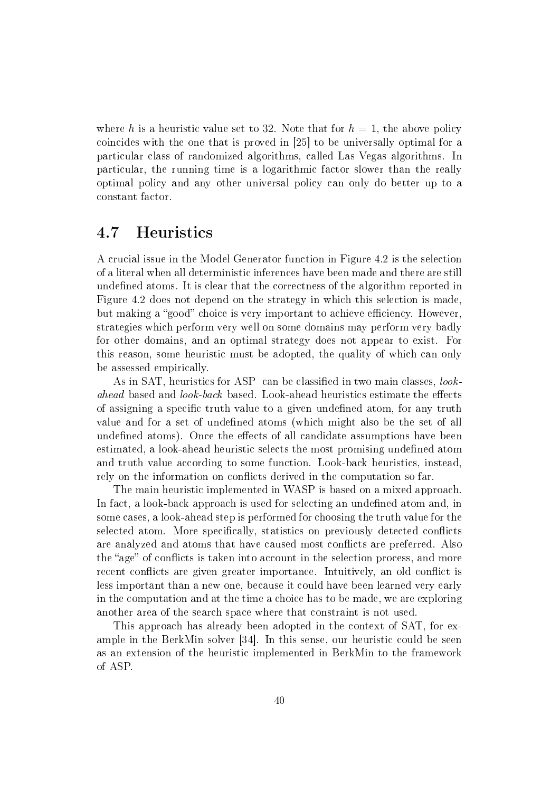where h is a heuristic value set to 32. Note that for  $h = 1$ , the above policy coincides with the one that is proved in [25] to be universally optimal for a particular class of randomized algorithms, called Las Vegas algorithms. In particular, the running time is a logarithmic factor slower than the really optimal policy and any other universal policy can only do better up to a constant factor.

### 4.7 Heuristics

A crucial issue in the Model Generator function in Figure 4.2 is the selection of a literal when all deterministic inferences have been made and there are still undefined atoms. It is clear that the correctness of the algorithm reported in Figure 4.2 does not depend on the strategy in which this selection is made, but making a "good" choice is very important to achieve efficiency. However, strategies which perform very well on some domains may perform very badly for other domains, and an optimal strategy does not appear to exist. For this reason, some heuristic must be adopted, the quality of which can only be assessed empirically.

As in SAT, heuristics for ASP can be classified in two main classes, look- $\alpha$  based and  $\alpha$  look-back based. Look-ahead heuristics estimate the effects of assigning a specific truth value to a given undefined atom, for any truth value and for a set of undefined atoms (which might also be the set of all undefined atoms). Once the effects of all candidate assumptions have been estimated, a look-ahead heuristic selects the most promising undefined atom and truth value according to some function. Look-back heuristics, instead, rely on the information on conflicts derived in the computation so far.

The main heuristic implemented in WASP is based on a mixed approach. In fact, a look-back approach is used for selecting an undefined atom and, in some cases, a look-ahead step is performed for choosing the truth value for the selected atom. More specifically, statistics on previously detected conflicts are analyzed and atoms that have caused most conflicts are preferred. Also the "age" of conflicts is taken into account in the selection process, and more recent conflicts are given greater importance. Intuitively, an old conflict is less important than a new one, because it could have been learned very early in the computation and at the time a choice has to be made, we are exploring another area of the search space where that constraint is not used.

This approach has already been adopted in the context of SAT, for example in the BerkMin solver [34]. In this sense, our heuristic could be seen as an extension of the heuristic implemented in BerkMin to the framework of ASP.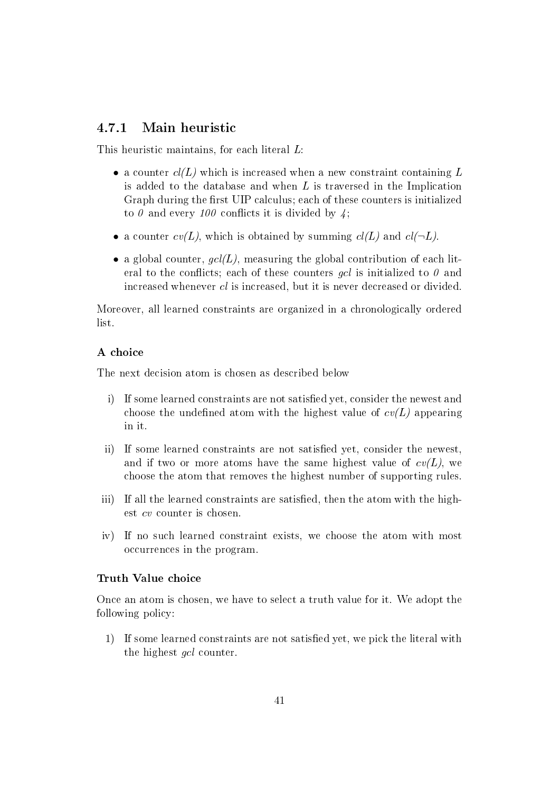#### 4.7.1 Main heuristic

This heuristic maintains, for each literal L:

- a counter  $cl(L)$  which is increased when a new constraint containing L is added to the database and when L is traversed in the Implication Graph during the first UIP calculus; each of these counters is initialized to  $\theta$  and every 100 conflicts it is divided by  $\lambda$ ;
- a counter  $cv(L)$ , which is obtained by summing  $cl(L)$  and  $cl(\neg L)$ .
- a global counter,  $\mathfrak{gel}(L)$ , measuring the global contribution of each literal to the conflicts; each of these counters *gcl* is initialized to  $\theta$  and increased whenever cl is increased, but it is never decreased or divided.

Moreover, all learned constraints are organized in a chronologically ordered list.

#### A choice

The next decision atom is chosen as described below

- i) If some learned constraints are not satisfied yet, consider the newest and choose the undefined atom with the highest value of  $cv(L)$  appearing in it.
- ii) If some learned constraints are not satisfied yet, consider the newest. and if two or more atoms have the same highest value of  $cv(L)$ , we choose the atom that removes the highest number of supporting rules.
- iii) If all the learned constraints are satisfied, then the atom with the highest cv counter is chosen.
- iv) If no such learned constraint exists, we choose the atom with most occurrences in the program.

#### Truth Value choice

Once an atom is chosen, we have to select a truth value for it. We adopt the following policy:

1) If some learned constraints are not satisfied yet, we pick the literal with the highest gcl counter.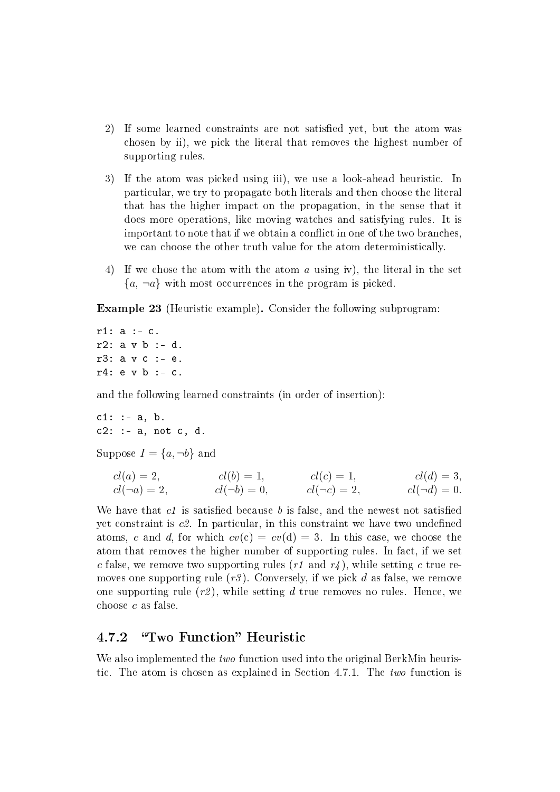- 2) If some learned constraints are not satisfied yet, but the atom was chosen by ii), we pick the literal that removes the highest number of supporting rules.
- 3) If the atom was picked using iii), we use a look-ahead heuristic. In particular, we try to propagate both literals and then choose the literal that has the higher impact on the propagation, in the sense that it does more operations, like moving watches and satisfying rules. It is important to note that if we obtain a conflict in one of the two branches. we can choose the other truth value for the atom deterministically.
- 4) If we chose the atom with the atom a using iv), the literal in the set  ${a, \neg a}$  with most occurrences in the program is picked.

Example 23 (Heuristic example). Consider the following subprogram:

r1: a :- c. r2: a v b :- d. r3: a v c :- e.  $r4: e \vee b : - c.$ 

and the following learned constraints (in order of insertion):

 $c1: := a, b.$  $c2: := a$ , not  $c$ , d.

Suppose  $I = \{a, \neg b\}$  and

cl(a) = 2, cl(¬a) = 2, cl(b) = 1, cl(¬b) = 0, cl(c) = 1, cl(¬c) = 2, cl(d) = 3, cl(¬d) = 0.

We have that  $c_1$  is satisfied because b is false, and the newest not satisfied yet constraint is  $c\mathcal{Z}$ . In particular, in this constraint we have two undefined atoms, c and d, for which  $cv(c) = cv(d) = 3$ . In this case, we choose the atom that removes the higher number of supporting rules. In fact, if we set c false, we remove two supporting rules (r1 and r4), while setting c true removes one supporting rule  $(r3)$ . Conversely, if we pick d as false, we remove one supporting rule  $(r2)$ , while setting d true removes no rules. Hence, we choose c as false.

#### 4.7.2 "Two Function" Heuristic

We also implemented the *two* function used into the original BerkMin heuristic. The atom is chosen as explained in Section 4.7.1. The two function is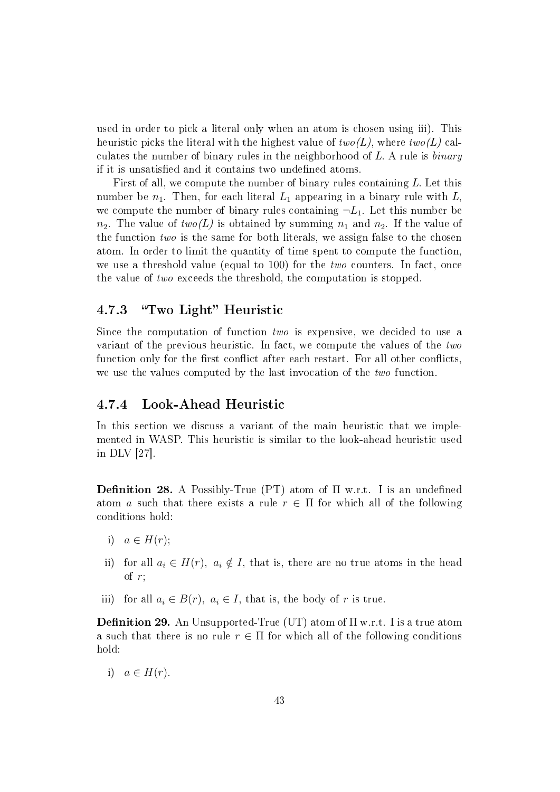used in order to pick a literal only when an atom is chosen using iii). This heuristic picks the literal with the highest value of  $two(L)$ , where  $two(L)$  calculates the number of binary rules in the neighborhood of  $L$ . A rule is *binary* if it is unsatisfied and it contains two undefined atoms.

First of all, we compute the number of binary rules containing L. Let this number be  $n_1$ . Then, for each literal  $L_1$  appearing in a binary rule with  $L_1$ we compute the number of binary rules containing  $\neg L_1$ . Let this number be  $n_2$ . The value of  $two(L)$  is obtained by summing  $n_1$  and  $n_2$ . If the value of the function two is the same for both literals, we assign false to the chosen atom. In order to limit the quantity of time spent to compute the function, we use a threshold value (equal to 100) for the *two* counters. In fact, once the value of two exceeds the threshold, the computation is stopped.

### 4.7.3 "Two Light" Heuristic

Since the computation of function two is expensive, we decided to use a variant of the previous heuristic. In fact, we compute the values of the two function only for the first conflict after each restart. For all other conflicts, we use the values computed by the last invocation of the two function.

#### 4.7.4 Look-Ahead Heuristic

In this section we discuss a variant of the main heuristic that we implemented in WASP. This heuristic is similar to the look-ahead heuristic used in DLV [27].

**Definition 28.** A Possibly-True (PT) atom of  $\Pi$  w.r.t. I is an undefined atom a such that there exists a rule  $r \in \Pi$  for which all of the following conditions hold:

- i)  $a \in H(r);$
- ii) for all  $a_i \in H(r)$ ,  $a_i \notin I$ , that is, there are no true atoms in the head of  $r$ :
- iii) for all  $a_i \in B(r)$ ,  $a_i \in I$ , that is, the body of r is true.

**Definition 29.** An Unsupported-True (UT) atom of  $\Pi$  w.r.t. I is a true atom a such that there is no rule  $r \in \Pi$  for which all of the following conditions hold:

i)  $a \in H(r)$ .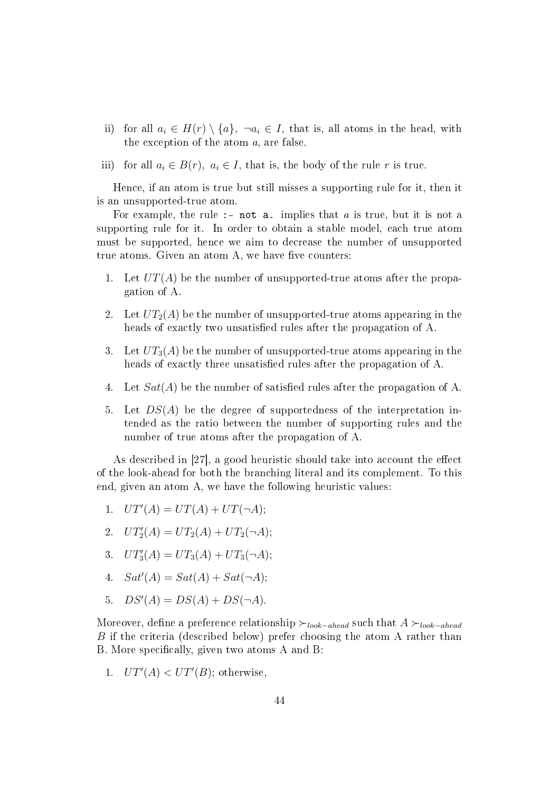- ii) for all  $a_i \in H(r) \setminus \{a\}, \ \neg a_i \in I$ , that is, all atoms in the head, with the exception of the atom a, are false.
- iii) for all  $a_i \in B(r)$ ,  $a_i \in I$ , that is, the body of the rule r is true.

Hence, if an atom is true but still misses a supporting rule for it, then it is an unsupported-true atom.

For example, the rule :- not a. implies that  $a$  is true, but it is not a supporting rule for it. In order to obtain a stable model, each true atom must be supported, hence we aim to decrease the number of unsupported true atoms. Given an atom A, we have five counters:

- 1. Let  $UT(A)$  be the number of unsupported-true atoms after the propagation of A.
- 2. Let  $UT_2(A)$  be the number of unsupported-true atoms appearing in the heads of exactly two unsatisfied rules after the propagation of A.
- 3. Let  $UT_3(A)$  be the number of unsupported-true atoms appearing in the heads of exactly three unsatisfied rules after the propagation of A.
- 4. Let  $Sat(A)$  be the number of satisfied rules after the propagation of A.
- 5. Let  $DS(A)$  be the degree of supportedness of the interpretation intended as the ratio between the number of supporting rules and the number of true atoms after the propagation of A.

As described in  $|27|$ , a good heuristic should take into account the effect of the look-ahead for both the branching literal and its complement. To this end, given an atom A, we have the following heuristic values:

- 1.  $UT'(A) = UT(A) + UT(\neg A);$
- 2.  $UT'_2(A) = UT_2(A) + UT_2(\neg A);$
- 3.  $UT'_3(A) = UT_3(A) + UT_3(\neg A);$
- 4.  $Sat'(A) = Sat(A) + Sat(\neg A);$
- 5.  $DS'(A) = DS(A) + DS(\neg A)$ .

Moreover, define a preference relationship  $\succ_{look-ahead}$  such that  $A \succ_{look-ahead}$ B if the criteria (described below) prefer choosing the atom A rather than B. More specifically, given two atoms A and B:

1.  $UT'(A) < UT'(B)$ ; otherwise,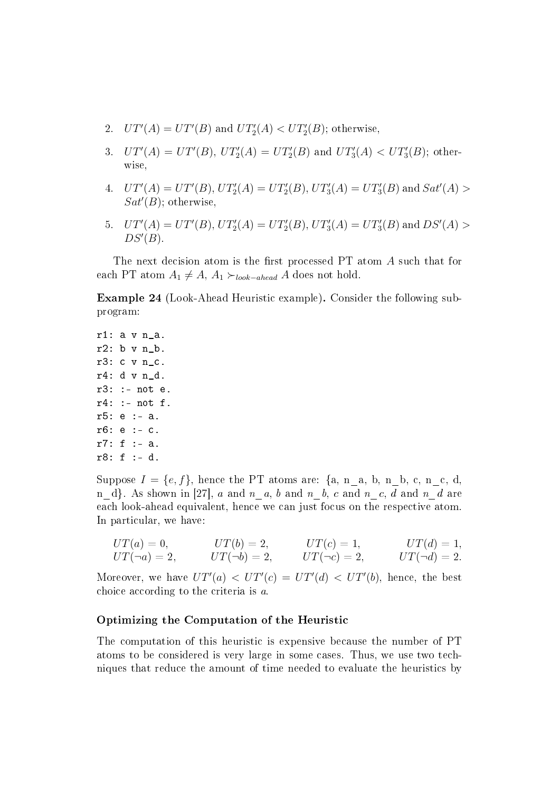- 2.  $UT'(A) = UT'(B)$  and  $UT'_2(A) < UT'_2(B)$ ; otherwise,
- 3.  $UT'(A) = UT'(B)$ ,  $UT'_2(A) = UT'_2(B)$  and  $UT'_3(A) < UT'_3(B)$ ; otherwise,
- 4.  $UT'(A) = UT'(B)$ ,  $UT'_2(A) = UT'_2(B)$ ,  $UT'_3(A) = UT'_3(B)$  and  $Sat'(A) >$  $Sat'(B)$ ; otherwise,
- 5.  $UT'(A) = UT'(B)$ ,  $UT'_2(A) = UT'_2(B)$ ,  $UT'_3(A) = UT'_3(B)$  and  $DS'(A) >$  $DS'(B)$ .

The next decision atom is the first processed  $PT$  atom  $A$  such that for each PT atom  $A_1 \neq A$ ,  $A_1 \succ_{look-ahead} A$  does not hold.

Example 24 (Look-Ahead Heuristic example). Consider the following subprogram:

r1: a v n\_a. r2: b v n\_b. r3: c v n\_c. r4: d v n\_d. r3: :- not e. r4: :- not f. r5: e :- a. r6: e :- c. r7: f :- a. r8: f :- d.

Suppose  $I = \{e, f\}$ , hence the PT atoms are:  $\{a, n_a, b, n_b, c, n_c, d, d\}$ n\_d}. As shown in [27], a and  $n_a$ , b and  $n_b$ , c and  $n_c$ , d and  $n_d$  are each look-ahead equivalent, hence we can just focus on the respective atom. In particular, we have:

$$
UT(a) = 0, \tUT(b) = 2, \tUT(c) = 1, \tUT(d) = 1, UT(\neg a) = 2, \tUT(\neg b) = 2, \tUT(\neg c) = 2, \tUT(\neg d) = 2.
$$

Moreover, we have  $UT'(a) < UT'(c) = UT'(d) < UT'(b)$ , hence, the best choice according to the criteria is a.

#### Optimizing the Computation of the Heuristic

The computation of this heuristic is expensive because the number of PT atoms to be considered is very large in some cases. Thus, we use two techniques that reduce the amount of time needed to evaluate the heuristics by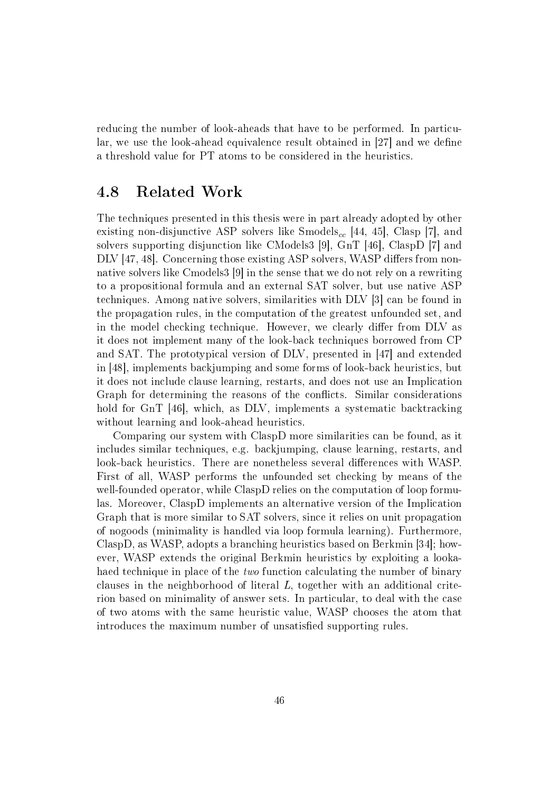reducing the number of look-aheads that have to be performed. In particular, we use the look-ahead equivalence result obtained in  $[27]$  and we define a threshold value for PT atoms to be considered in the heuristics.

## 4.8 Related Work

The techniques presented in this thesis were in part already adopted by other existing non-disjunctive ASP solvers like  $\text{Smodes}_{cc}$  [44, 45], Clasp [7], and solvers supporting disjunction like CModels3 [9], GnT [46], ClaspD [7] and DLV [47, 48]. Concerning those existing ASP solvers, WASP differs from nonnative solvers like Cmodels3 [9] in the sense that we do not rely on a rewriting to a propositional formula and an external SAT solver, but use native ASP techniques. Among native solvers, similarities with DLV [3] can be found in the propagation rules, in the computation of the greatest unfounded set, and in the model checking technique. However, we clearly differ from DLV as it does not implement many of the look-back techniques borrowed from CP and SAT. The prototypical version of DLV, presented in [47] and extended in [48], implements backjumping and some forms of look-back heuristics, but it does not include clause learning, restarts, and does not use an Implication Graph for determining the reasons of the conflicts. Similar considerations hold for GnT [46], which, as DLV, implements a systematic backtracking without learning and look-ahead heuristics.

Comparing our system with ClaspD more similarities can be found, as it includes similar techniques, e.g. backjumping, clause learning, restarts, and look-back heuristics. There are nonetheless several differences with WASP. First of all, WASP performs the unfounded set checking by means of the well-founded operator, while ClaspD relies on the computation of loop formulas. Moreover, ClaspD implements an alternative version of the Implication Graph that is more similar to SAT solvers, since it relies on unit propagation of nogoods (minimality is handled via loop formula learning). Furthermore, ClaspD, as WASP, adopts a branching heuristics based on Berkmin [34]; however, WASP extends the original Berkmin heuristics by exploiting a lookahaed technique in place of the *two* function calculating the number of binary clauses in the neighborhood of literal L, together with an additional criterion based on minimality of answer sets. In particular, to deal with the case of two atoms with the same heuristic value, WASP chooses the atom that introduces the maximum number of unsatisfied supporting rules.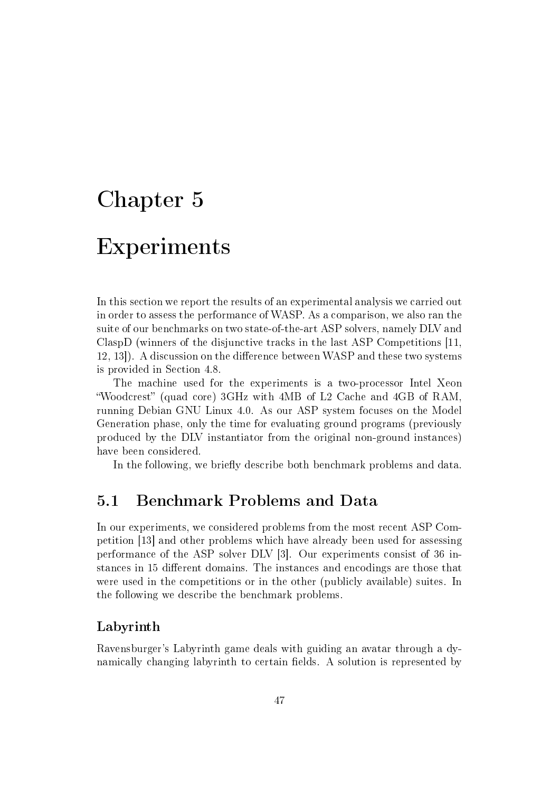# Chapter 5

# Experiments

In this section we report the results of an experimental analysis we carried out in order to assess the performance of WASP. As a comparison, we also ran the suite of our benchmarks on two state-of-the-art ASP solvers, namely DLV and ClaspD (winners of the disjunctive tracks in the last ASP Competitions [11, 12, 13. A discussion on the difference between WASP and these two systems is provided in Section 4.8.

The machine used for the experiments is a two-processor Intel Xeon "Woodcrest" (quad core) 3GHz with 4MB of L2 Cache and 4GB of RAM, running Debian GNU Linux 4.0. As our ASP system focuses on the Model Generation phase, only the time for evaluating ground programs (previously produced by the DLV instantiator from the original non-ground instances) have been considered.

In the following, we briefly describe both benchmark problems and data.

## 5.1 Benchmark Problems and Data

In our experiments, we considered problems from the most recent ASP Competition [13] and other problems which have already been used for assessing performance of the ASP solver DLV [3]. Our experiments consist of 36 instances in 15 different domains. The instances and encodings are those that were used in the competitions or in the other (publicly available) suites. In the following we describe the benchmark problems.

#### Labyrinth

Ravensburger's Labyrinth game deals with guiding an avatar through a dynamically changing labyrinth to certain fields. A solution is represented by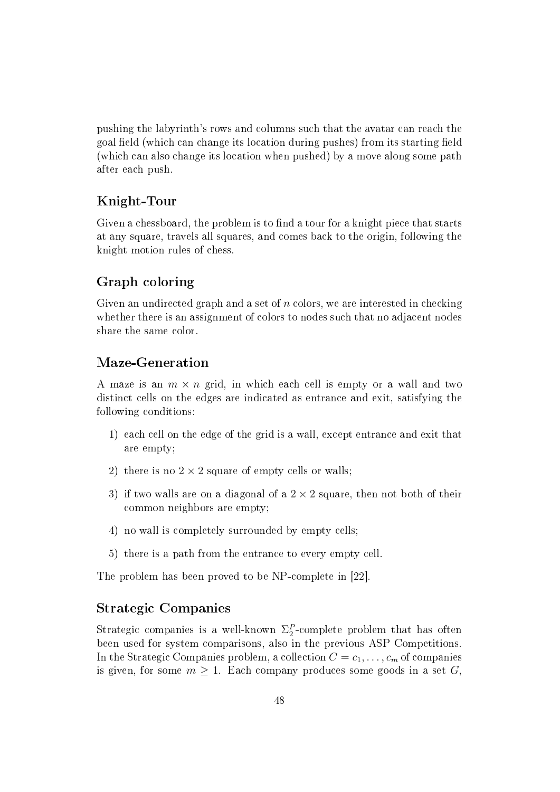pushing the labyrinth's rows and columns such that the avatar can reach the goal field (which can change its location during pushes) from its starting field (which can also change its location when pushed) by a move along some path after each push.

#### Knight-Tour

Given a chessboard, the problem is to find a tour for a knight piece that starts at any square, travels all squares, and comes back to the origin, following the knight motion rules of chess.

#### Graph coloring

Given an undirected graph and a set of  $n$  colors, we are interested in checking whether there is an assignment of colors to nodes such that no adjacent nodes share the same color.

#### Maze-Generation

A maze is an  $m \times n$  grid, in which each cell is empty or a wall and two distinct cells on the edges are indicated as entrance and exit, satisfying the following conditions:

- 1) each cell on the edge of the grid is a wall, except entrance and exit that are empty;
- 2) there is no  $2 \times 2$  square of empty cells or walls;
- 3) if two walls are on a diagonal of a  $2 \times 2$  square, then not both of their common neighbors are empty;
- 4) no wall is completely surrounded by empty cells;
- 5) there is a path from the entrance to every empty cell.

The problem has been proved to be NP-complete in [22].

#### Strategic Companies

Strategic companies is a well-known  $\Sigma_2^P$ -complete problem that has often been used for system comparisons, also in the previous ASP Competitions. In the Strategic Companies problem, a collection  $C = c_1, \ldots, c_m$  of companies is given, for some  $m \geq 1$ . Each company produces some goods in a set G,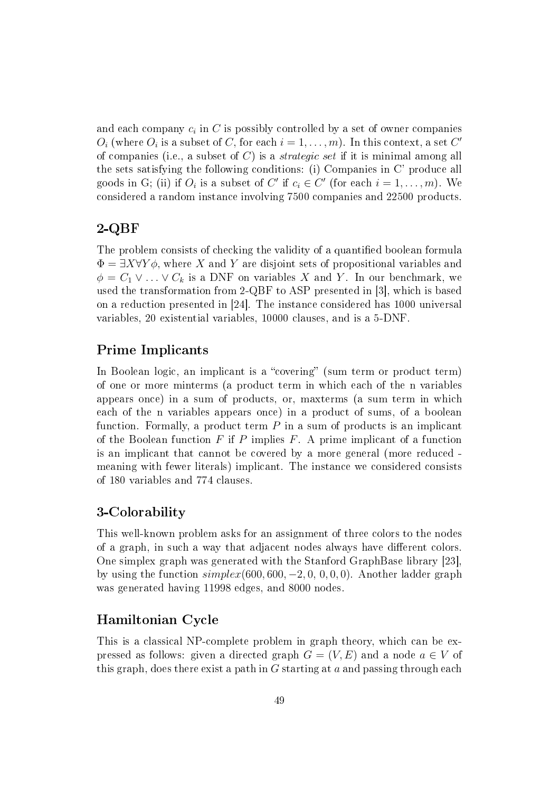and each company  $c_i$  in  $C$  is possibly controlled by a set of owner companies  $O_i$  (where  $O_i$  is a subset of C, for each  $i = 1, \ldots, m$ ). In this context, a set C' of companies (i.e., a subset of  $C$ ) is a *strategic set* if it is minimal among all the sets satisfying the following conditions: (i) Companies in C' produce all goods in G; (ii) if  $O_i$  is a subset of C' if  $c_i \in C'$  (for each  $i = 1, \ldots, m$ ). We considered a random instance involving 7500 companies and 22500 products.

#### 2-QBF

The problem consists of checking the validity of a quantified boolean formula  $\Phi = \exists X \forall Y \phi$ , where X and Y are disjoint sets of propositional variables and  $\phi = C_1 \vee \ldots \vee C_k$  is a DNF on variables X and Y. In our benchmark, we used the transformation from 2-QBF to ASP presented in [3], which is based on a reduction presented in [24]. The instance considered has 1000 universal variables, 20 existential variables, 10000 clauses, and is a 5-DNF.

#### Prime Implicants

In Boolean logic, an implicant is a "covering" (sum term or product term) of one or more minterms (a product term in which each of the n variables appears once) in a sum of products, or, maxterms (a sum term in which each of the n variables appears once) in a product of sums, of a boolean function. Formally, a product term  $P$  in a sum of products is an implicant of the Boolean function  $F$  if  $P$  implies  $F$ . A prime implicant of a function is an implicant that cannot be covered by a more general (more reduced meaning with fewer literals) implicant. The instance we considered consists of 180 variables and 774 clauses.

#### 3-Colorability

This well-known problem asks for an assignment of three colors to the nodes of a graph, in such a way that adjacent nodes always have different colors. One simplex graph was generated with the Stanford GraphBase library [23], by using the function  $simplex(600, 600, -2, 0, 0, 0, 0)$ . Another ladder graph was generated having 11998 edges, and 8000 nodes.

#### Hamiltonian Cycle

This is a classical NP-complete problem in graph theory, which can be expressed as follows: given a directed graph  $G = (V, E)$  and a node  $a \in V$  of this graph, does there exist a path in  $G$  starting at  $a$  and passing through each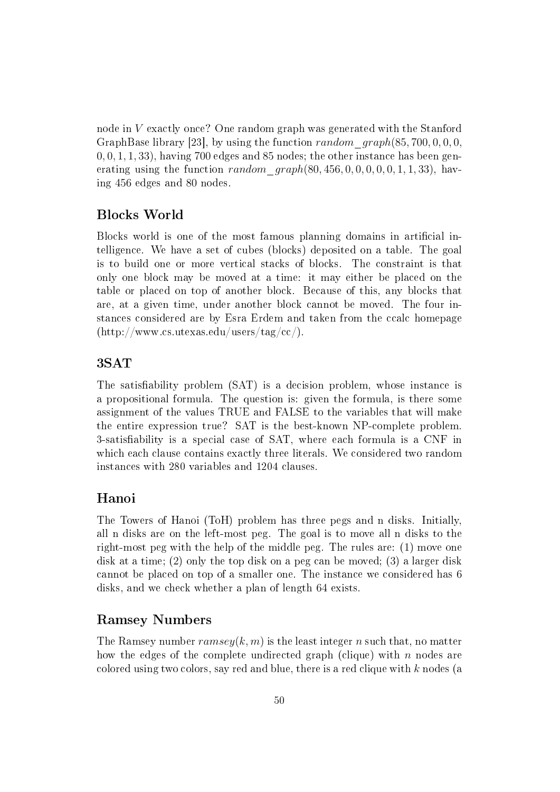node in V exactly once? One random graph was generated with the Stanford GraphBase library [23], by using the function random graph(85, 700, 0, 0, 0,  $(0, 0, 1, 1, 33)$ , having 700 edges and 85 nodes; the other instance has been generating using the function *random*  $graph(80, 456, 0, 0, 0, 0, 0, 1, 1, 33)$ , having 456 edges and 80 nodes.

#### Blocks World

Blocks world is one of the most famous planning domains in articial intelligence. We have a set of cubes (blocks) deposited on a table. The goal is to build one or more vertical stacks of blocks. The constraint is that only one block may be moved at a time: it may either be placed on the table or placed on top of another block. Because of this, any blocks that are, at a given time, under another block cannot be moved. The four instances considered are by Esra Erdem and taken from the ccalc homepage  $(\text{http://www.cs.utexas.edu/users/tag/cc/}).$ 

#### 3SAT

The satisfiability problem (SAT) is a decision problem, whose instance is a propositional formula. The question is: given the formula, is there some assignment of the values TRUE and FALSE to the variables that will make the entire expression true? SAT is the best-known NP-complete problem. 3-satisfiability is a special case of SAT, where each formula is a CNF in which each clause contains exactly three literals. We considered two random instances with 280 variables and 1204 clauses.

#### Hanoi

The Towers of Hanoi (ToH) problem has three pegs and n disks. Initially, all n disks are on the left-most peg. The goal is to move all n disks to the right-most peg with the help of the middle peg. The rules are: (1) move one disk at a time; (2) only the top disk on a peg can be moved; (3) a larger disk cannot be placed on top of a smaller one. The instance we considered has 6 disks, and we check whether a plan of length 64 exists.

#### Ramsey Numbers

The Ramsey number  $ramsey(k, m)$  is the least integer n such that, no matter how the edges of the complete undirected graph (clique) with  $n$  nodes are colored using two colors, say red and blue, there is a red clique with  $k$  nodes (a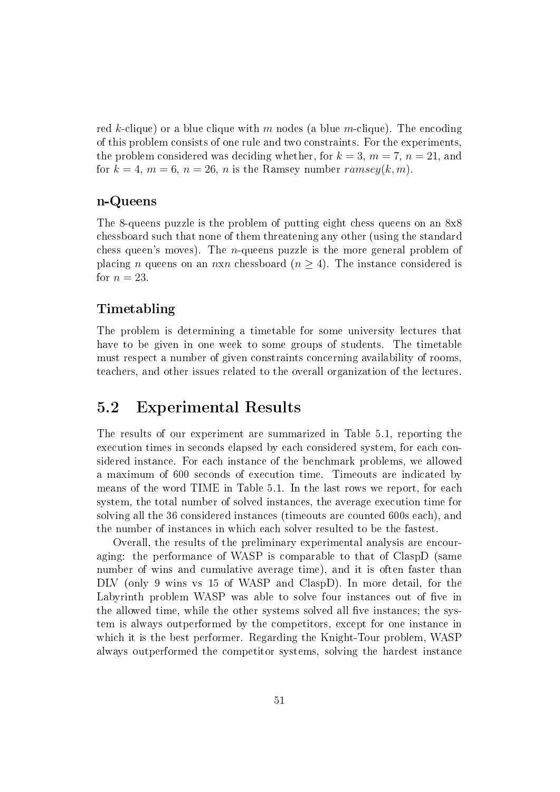red k-clique) or a blue clique with m nodes (a blue m-clique). The encoding of this problem consists of one rule and two constraints. For the experiments, the problem considered was deciding whether, for  $k = 3$ ,  $m = 7$ ,  $n = 21$ , and for  $k = 4$ ,  $m = 6$ ,  $n = 26$ , n is the Ramsey number ramsey $(k, m)$ .

#### n-Queens

The 8-queens puzzle is the problem of putting eight chess queens on an 8x8 chessboard such that none of them threatening any other (using the standard chess queen's moves). The n-queens puzzle is the more general problem of placing n queens on an nxn chessboard ( $n \geq 4$ ). The instance considered is for  $n = 23$ .

#### Timetabling

The problem is determining a timetable for some university lectures that have to be given in one week to some groups of students. The timetable must respect a number of given constraints concerning availability of rooms, teachers, and other issues related to the overall organization of the lectures.

### 5.2 Experimental Results

The results of our experiment are summarized in Table 5.1, reporting the execution times in seconds elapsed by each considered system, for each considered instance. For each instance of the benchmark problems, we allowed a maximum of 600 seconds of execution time. Timeouts are indicated by means of the word TIME in Table 5.1. In the last rows we report, for each system, the total number of solved instances, the average execution time for solving all the 36 considered instances (timeouts are counted 600s each), and the number of instances in which each solver resulted to be the fastest.

Overall, the results of the preliminary experimental analysis are encouraging: the performance of WASP is comparable to that of ClaspD (same number of wins and cumulative average time), and it is often faster than DLV (only 9 wins vs 15 of WASP and ClaspD). In more detail, for the Labyrinth problem WASP was able to solve four instances out of five in the allowed time, while the other systems solved all five instances; the system is always outperformed by the competitors, except for one instance in which it is the best performer. Regarding the Knight-Tour problem, WASP always outperformed the competitor systems, solving the hardest instance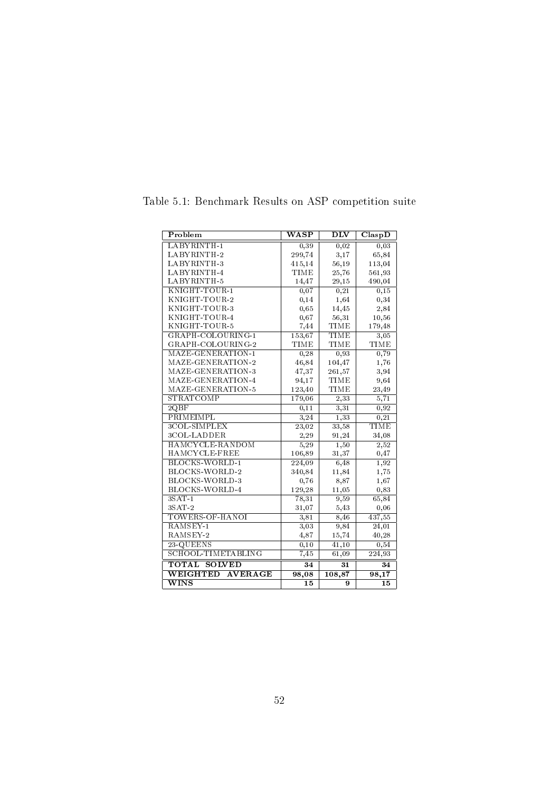| Problem                       | $\overline{\text{WASP}}$ | $\overline{\rm{DLV}}$ | ClaspD          |
|-------------------------------|--------------------------|-----------------------|-----------------|
| LABYRINTH-1                   | 0,39                     | 0,02                  | 0,03            |
| LABYRINTH-2                   | 299,74                   | 3,17                  | 65,84           |
| LABYRINTH-3                   | 415,14                   | 56,19                 | 113,04          |
| LABYRINTH-4                   | <b>TIME</b>              | 25,76                 | 561,93          |
| LABYRINTH-5                   | 14,47                    | 29,15                 | 490,04          |
| KNIGHT-TOUR-1                 | 0,07                     | 0,21                  | 0,15            |
| KNIGHT-TOUR-2                 | 0,14                     | 1,64                  | 0,34            |
| KNIGHT-TOUR-3                 | 0,65                     | 14,45                 | 2,84            |
| KNIGHT-TOUR-4                 | 0,67                     | 56,31                 | 10,56           |
| KNIGHT-TOUR-5                 | 7,44                     | <b>TIME</b>           | 179,48          |
| GRAPH-COLOURING-1             | 153,67                   | <b>TIME</b>           | 3,05            |
| GRAPH-COLOURING-2             | TIME                     | TIME                  | <b>TIME</b>     |
| MAZE-GENERATION-1             | 0,28                     | 0,93                  | 0,79            |
| MAZE-GENERATION-2             | 46,84                    | 104,47                | 1,76            |
| MAZE-GENERATION-3             | 47,37                    | 261,57                | 3,94            |
| MAZE-GENERATION-4             | 94,17                    | <b>TIME</b>           | 9,64            |
| MAZE-GENERATION-5             | 123,40                   | TIME                  | 23,49           |
| STRATCOMP                     | 179,06                   | 2,33                  | 5,71            |
| 2QBF                          | 0,11                     | 3,31                  | 0,92            |
| PRIMEIMPL                     | 3,24                     | 1,33                  | 0,21            |
| 3COL-SIMPLEX                  | 23,02                    | 33,58                 | <b>TIME</b>     |
| 3COL-LADDER                   | 2,29                     | 91,24                 | 34,08           |
| HAMCYCLE-RANDOM               | 5, 29                    | 1,50                  | 2,52            |
| HAMCYCLE-FREE                 | 106,89                   | 31,37                 | 0,47            |
| <b>BLOCKS-WORLD-1</b>         | 224,09                   | 6,48                  | 1,92            |
| BLOCKS-WORLD-2                | 340,84                   | 11,84                 | 1,75            |
| BLOCKS-WORLD-3                | 0,76                     | 8,87                  | 1,67            |
| BLOCKS-WORLD-4                | 129,28                   | 11,05                 | 0,83            |
| $3SAT-1$                      | 78,31                    | 9,59                  | 65,84           |
| $3SAT-2$                      | 31,07                    | 5,43                  | 0,06            |
| TOWERS-OF-HANOI               | 3,81                     | 8,46                  | 437,55          |
| RAMSEY-1                      | 3,03                     | 9,84                  | 24,01           |
| RAMSEY-2                      | 4,87                     | 15,74                 | 40,28           |
| 23-QUEENS                     | 0, 10                    | 41,10                 | 0,54            |
| SCHOOL-TIMETABLING            | 7,45                     | 61,09                 | 224,93          |
| <b>TOTAL</b><br><b>SOLVED</b> | $\overline{34}$          | $\overline{31}$       | $\overline{34}$ |
| WEIGHTED<br><b>AVERAGE</b>    | 98,08                    | 108,87                | 98,17           |
| $\overline{\text{WINS}}$      | 15                       | 9                     | 15              |

Table 5.1: Benchmark Results on ASP competition suite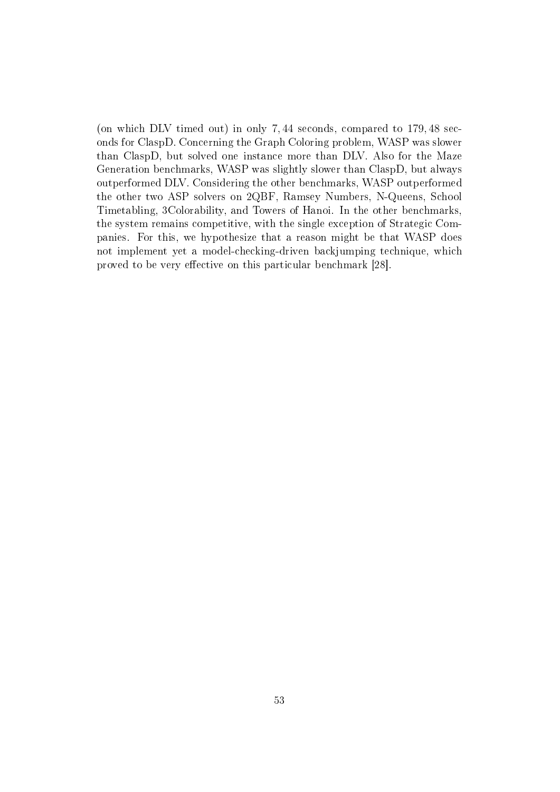(on which DLV timed out) in only 7, 44 seconds, compared to 179, 48 seconds for ClaspD. Concerning the Graph Coloring problem, WASP was slower than ClaspD, but solved one instance more than DLV. Also for the Maze Generation benchmarks, WASP was slightly slower than ClaspD, but always outperformed DLV. Considering the other benchmarks, WASP outperformed the other two ASP solvers on 2QBF, Ramsey Numbers, N-Queens, School Timetabling, 3Colorability, and Towers of Hanoi. In the other benchmarks, the system remains competitive, with the single exception of Strategic Companies. For this, we hypothesize that a reason might be that WASP does not implement yet a model-checking-driven backjumping technique, which proved to be very effective on this particular benchmark [28].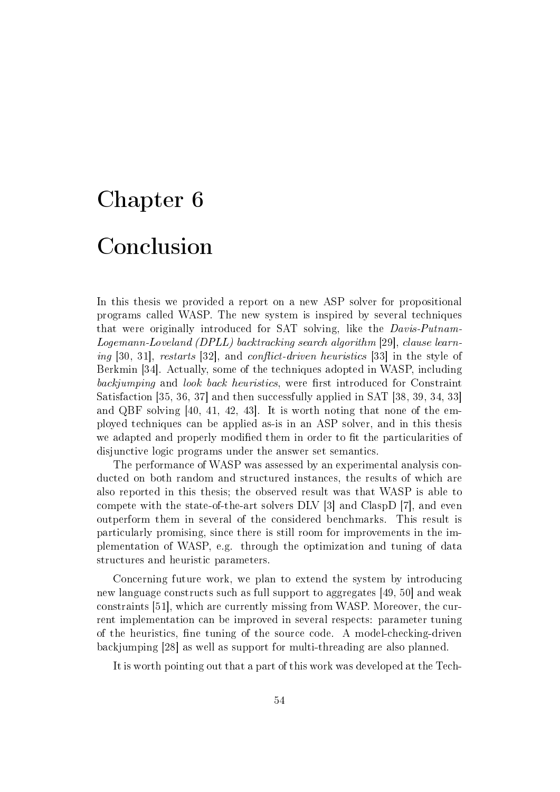# Chapter 6

# Conclusion

In this thesis we provided a report on a new ASP solver for propositional programs called WASP. The new system is inspired by several techniques that were originally introduced for SAT solving, like the Davis-Putnam-Logemann-Loveland (DPLL) backtracking search algorithm [29], clause learning [30, 31], restarts [32], and conflict-driven heuristics [33] in the style of Berkmin [34]. Actually, some of the techniques adopted in WASP, including backjumping and look back heuristics, were first introduced for Constraint Satisfaction [35, 36, 37] and then successfully applied in SAT [38, 39, 34, 33] and QBF solving [40, 41, 42, 43]. It is worth noting that none of the employed techniques can be applied as-is in an ASP solver, and in this thesis we adapted and properly modified them in order to fit the particularities of disjunctive logic programs under the answer set semantics.

The performance of WASP was assessed by an experimental analysis conducted on both random and structured instances, the results of which are also reported in this thesis; the observed result was that WASP is able to compete with the state-of-the-art solvers DLV [3] and ClaspD [7], and even outperform them in several of the considered benchmarks. This result is particularly promising, since there is still room for improvements in the implementation of WASP, e.g. through the optimization and tuning of data structures and heuristic parameters.

Concerning future work, we plan to extend the system by introducing new language constructs such as full support to aggregates [49, 50] and weak constraints [51], which are currently missing from WASP. Moreover, the current implementation can be improved in several respects: parameter tuning of the heuristics, fine tuning of the source code. A model-checking-driven backjumping [28] as well as support for multi-threading are also planned.

It is worth pointing out that a part of this work was developed at the Tech-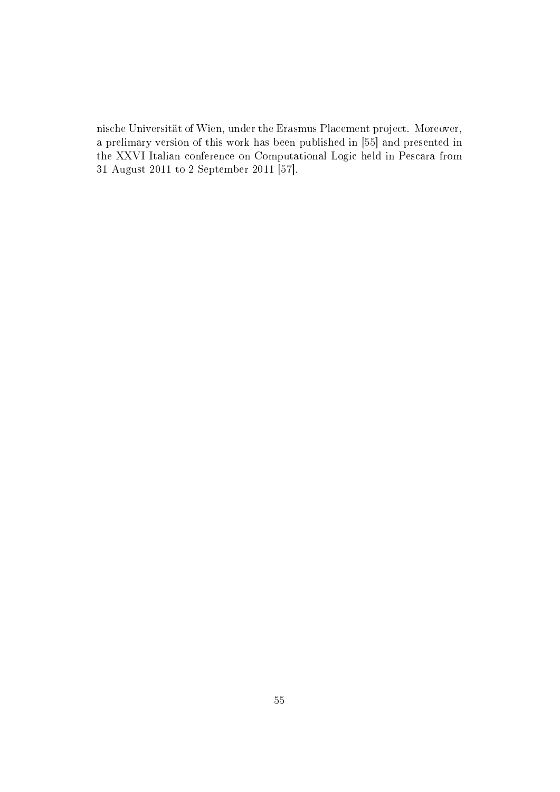nische Universität of Wien, under the Erasmus Placement project. Moreover, a prelimary version of this work has been published in [55] and presented in the XXVI Italian conference on Computational Logic held in Pescara from 31 August 2011 to 2 September 2011 [57].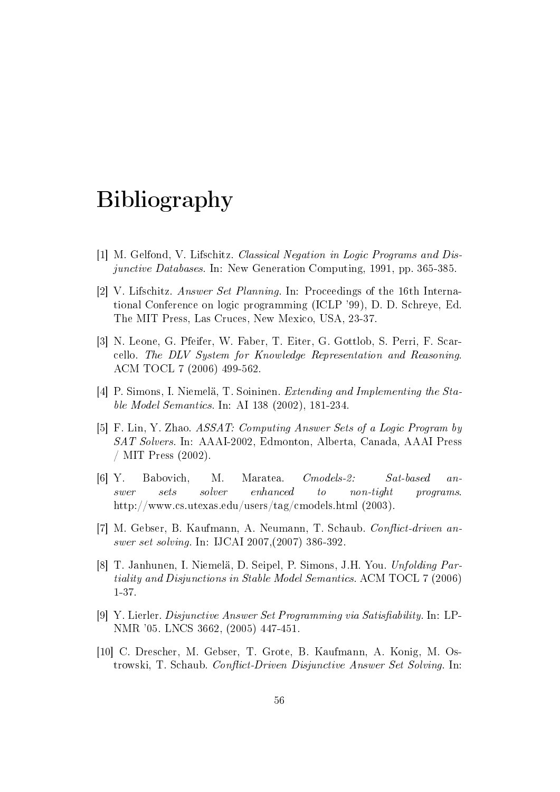# Bibliography

- [1] M. Gelfond, V. Lifschitz. Classical Negation in Logic Programs and Disjunctive Databases. In: New Generation Computing, 1991, pp. 365-385.
- [2] V. Lifschitz. Answer Set Planning. In: Proceedings of the 16th International Conference on logic programming (ICLP '99), D. D. Schreye, Ed. The MIT Press, Las Cruces, New Mexico, USA, 23-37.
- [3] N. Leone, G. Pfeifer, W. Faber, T. Eiter, G. Gottlob, S. Perri, F. Scarcello. The DLV System for Knowledge Representation and Reasoning. ACM TOCL 7 (2006) 499-562.
- [4] P. Simons, I. Niemelä, T. Soininen. Extending and Implementing the Stable Model Semantics. In: AI 138 (2002), 181-234.
- [5] F. Lin, Y. Zhao. ASSAT: Computing Answer Sets of a Logic Program by SAT Solvers. In: AAAI-2002, Edmonton, Alberta, Canada, AAAI Press / MIT Press (2002).
- [6] Y. Babovich, M. Maratea. Cmodels-2: Sat-based answer sets solver enhanced to non-tight programs. http://www.cs.utexas.edu/users/tag/cmodels.html (2003).
- [7] M. Gebser, B. Kaufmann, A. Neumann, T. Schaub. Conflict-driven answer set solving. In: IJCAI 2007,(2007) 386-392.
- [8] T. Janhunen, I. Niemelä, D. Seipel, P. Simons, J.H. You. Unfolding Partiality and Disjunctions in Stable Model Semantics. ACM TOCL 7 (2006) 1-37.
- [9] Y. Lierler. Disjunctive Answer Set Programming via Satisfiability. In: LP-NMR '05. LNCS 3662, (2005) 447-451.
- [10] C. Drescher, M. Gebser, T. Grote, B. Kaufmann, A. Konig, M. Ostrowski, T. Schaub. Conflict-Driven Disjunctive Answer Set Solving. In: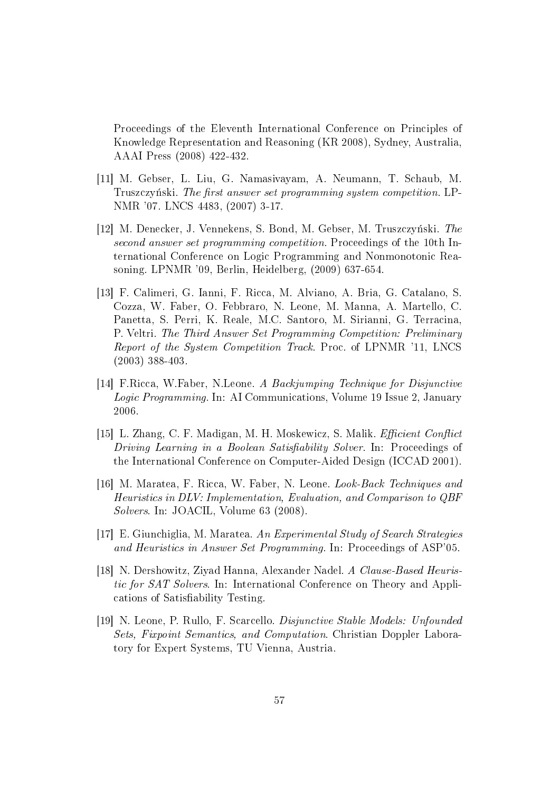Proceedings of the Eleventh International Conference on Principles of Knowledge Representation and Reasoning (KR 2008), Sydney, Australia, AAAI Press (2008) 422-432.

- [11] M. Gebser, L. Liu, G. Namasivayam, A. Neumann, T. Schaub, M. Truszczyński. The first answer set programming system competition. LP-NMR '07. LNCS 4483, (2007) 3-17.
- [12] M. Denecker, J. Vennekens, S. Bond, M. Gebser, M. Truszczyński. The second answer set programming competition. Proceedings of the 10th International Conference on Logic Programming and Nonmonotonic Reasoning. LPNMR '09, Berlin, Heidelberg, (2009) 637-654.
- [13] F. Calimeri, G. Ianni, F. Ricca, M. Alviano, A. Bria, G. Catalano, S. Cozza, W. Faber, O. Febbraro, N. Leone, M. Manna, A. Martello, C. Panetta, S. Perri, K. Reale, M.C. Santoro, M. Sirianni, G. Terracina, P. Veltri. The Third Answer Set Programming Competition: Preliminary Report of the System Competition Track. Proc. of LPNMR '11, LNCS (2003) 388-403.
- [14] F.Ricca, W.Faber, N.Leone. A Backjumping Technique for Disjunctive Logic Programming. In: AI Communications, Volume 19 Issue 2, January 2006.
- [15] L. Zhang, C. F. Madigan, M. H. Moskewicz, S. Malik. *Efficient Conflict* Driving Learning in a Boolean Satisfiability Solver. In: Proceedings of the International Conference on Computer-Aided Design (ICCAD 2001).
- [16] M. Maratea, F. Ricca, W. Faber, N. Leone. Look-Back Techniques and Heuristics in DLV: Implementation, Evaluation, and Comparison to QBF Solvers. In: JOACIL, Volume 63 (2008).
- [17] E. Giunchiglia, M. Maratea. An Experimental Study of Search Strategies and Heuristics in Answer Set Programming. In: Proceedings of ASP'05.
- [18] N. Dershowitz, Ziyad Hanna, Alexander Nadel. A Clause-Based Heuristic for SAT Solvers. In: International Conference on Theory and Applications of Satisfiability Testing.
- [19] N. Leone, P. Rullo, F. Scarcello. Disjunctive Stable Models: Unfounded Sets, Fixpoint Semantics, and Computation. Christian Doppler Laboratory for Expert Systems, TU Vienna, Austria.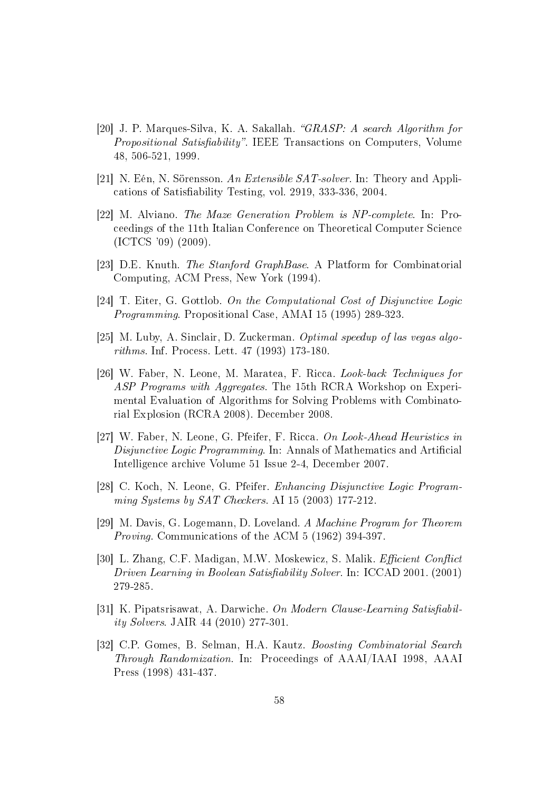- [20] J. P. Marques-Silva, K. A. Sakallah. "GRASP: A search Algorithm for *Propositional Satisfiability*". IEEE Transactions on Computers, Volume 48, 506-521, 1999.
- [21] N. Eén, N. Sörensson. An Extensible SAT-solver. In: Theory and Applications of Satisability Testing, vol. 2919, 333-336, 2004.
- [22] M. Alviano. The Maze Generation Problem is NP-complete. In: Proceedings of the 11th Italian Conference on Theoretical Computer Science (ICTCS '09) (2009).
- [23] D.E. Knuth. The Stanford GraphBase. A Platform for Combinatorial Computing, ACM Press, New York (1994).
- [24] T. Eiter, G. Gottlob. On the Computational Cost of Disjunctive Logic Programming. Propositional Case, AMAI 15 (1995) 289-323.
- [25] M. Luby, A. Sinclair, D. Zuckerman. Optimal speedup of las vegas algorithms. Inf. Process. Lett. 47 (1993) 173-180.
- [26] W. Faber, N. Leone, M. Maratea, F. Ricca. Look-back Techniques for ASP Programs with Aggregates. The 15th RCRA Workshop on Experimental Evaluation of Algorithms for Solving Problems with Combinatorial Explosion (RCRA 2008). December 2008.
- [27] W. Faber, N. Leone, G. Pfeifer, F. Ricca. On Look-Ahead Heuristics in Disjunctive Logic Programming. In: Annals of Mathematics and Artificial Intelligence archive Volume 51 Issue 2-4, December 2007.
- [28] C. Koch, N. Leone, G. Pfeifer. Enhancing Disjunctive Logic Programming Systems by SAT Checkers. AI 15 (2003) 177-212.
- [29] M. Davis, G. Logemann, D. Loveland. A Machine Program for Theorem Proving. Communications of the ACM 5 (1962) 394-397.
- [30] L. Zhang, C.F. Madigan, M.W. Moskewicz, S. Malik. *Efficient Conflict* Driven Learning in Boolean Satisfiability Solver. In: ICCAD 2001. (2001) 279-285.
- [31] K. Pipatsrisawat, A. Darwiche. On Modern Clause-Learning Satisfiability Solvers. JAIR 44 (2010) 277-301.
- [32] C.P. Gomes, B. Selman, H.A. Kautz. Boosting Combinatorial Search Through Randomization. In: Proceedings of AAAI/IAAI 1998, AAAI Press (1998) 431-437.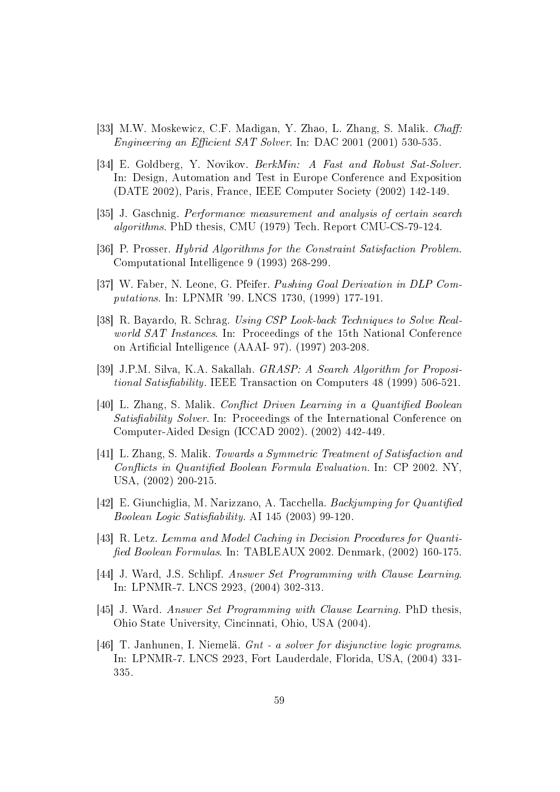- [33] M.W. Moskewicz, C.F. Madigan, Y. Zhao, L. Zhang, S. Malik. *Chaff:* Engineering an Efficient SAT Solver. In: DAC 2001 (2001) 530-535.
- [34] E. Goldberg, Y. Novikov. BerkMin: A Fast and Robust Sat-Solver. In: Design, Automation and Test in Europe Conference and Exposition (DATE 2002), Paris, France, IEEE Computer Society (2002) 142-149.
- [35] J. Gaschnig. Performance measurement and analysis of certain search algorithms. PhD thesis, CMU (1979) Tech. Report CMU-CS-79-124.
- [36] P. Prosser. Hybrid Algorithms for the Constraint Satisfaction Problem. Computational Intelligence 9 (1993) 268-299.
- [37] W. Faber, N. Leone, G. Pfeifer. Pushing Goal Derivation in DLP Computations. In: LPNMR '99. LNCS 1730, (1999) 177-191.
- [38] R. Bayardo, R. Schrag. Using CSP Look-back Techniques to Solve Realworld SAT Instances. In: Proceedings of the 15th National Conference on Artificial Intelligence (AAAI- 97). (1997) 203-208.
- [39] J.P.M. Silva, K.A. Sakallah. GRASP: A Search Algorithm for Propositional Satisfiability. IEEE Transaction on Computers 48 (1999) 506-521.
- [40] L. Zhang, S. Malik. Conflict Driven Learning in a Quantified Boolean Satisfiability Solver. In: Proceedings of the International Conference on Computer-Aided Design (ICCAD 2002). (2002) 442-449.
- [41] L. Zhang, S. Malik. Towards a Symmetric Treatment of Satisfaction and Conflicts in Quantified Boolean Formula Evaluation. In: CP 2002. NY, USA, (2002) 200-215.
- [42] E. Giunchiglia, M. Narizzano, A. Tacchella. Backjumping for Quantified Boolean Logic Satisfiability. AI  $145$  (2003) 99-120.
- [43] R. Letz. Lemma and Model Caching in Decision Procedures for Quanti fied Boolean Formulas. In: TABLEAUX 2002. Denmark, (2002) 160-175.
- [44] J. Ward, J.S. Schlipf. Answer Set Programming with Clause Learning. In: LPNMR-7. LNCS 2923, (2004) 302-313.
- [45] J. Ward. Answer Set Programming with Clause Learning. PhD thesis, Ohio State University, Cincinnati, Ohio, USA (2004).
- [46] T. Janhunen, I. Niemelä. Gnt a solver for disjunctive logic programs. In: LPNMR-7. LNCS 2923, Fort Lauderdale, Florida, USA, (2004) 331- 335.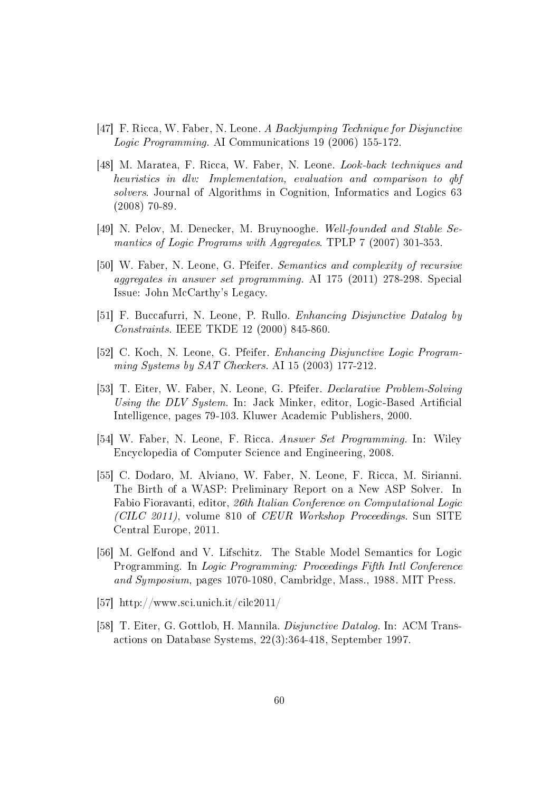- [47] F. Ricca, W. Faber, N. Leone. A Backjumping Technique for Disjunctive Logic Programming. AI Communications 19 (2006) 155-172.
- [48] M. Maratea, F. Ricca, W. Faber, N. Leone. Look-back techniques and heuristics in dlv: Implementation, evaluation and comparison to qbf solvers. Journal of Algorithms in Cognition, Informatics and Logics 63 (2008) 70-89.
- [49] N. Pelov, M. Denecker, M. Bruynooghe. Well-founded and Stable Semantics of Logic Programs with Aggregates. TPLP 7 (2007) 301-353.
- [50] W. Faber, N. Leone, G. Pfeifer. Semantics and complexity of recursive aggregates in answer set programming. AI 175 (2011) 278-298. Special Issue: John McCarthy's Legacy.
- [51] F. Buccafurri, N. Leone, P. Rullo. Enhancing Disjunctive Datalog by Constraints. IEEE TKDE 12 (2000) 845-860.
- [52] C. Koch, N. Leone, G. Pfeifer. Enhancing Disjunctive Logic Programming Systems by SAT Checkers. AI 15 (2003) 177-212.
- [53] T. Eiter, W. Faber, N. Leone, G. Pfeifer. Declarative Problem-Solving Using the DLV System. In: Jack Minker, editor, Logic-Based Artificial Intelligence, pages 79-103. Kluwer Academic Publishers, 2000.
- [54] W. Faber, N. Leone, F. Ricca. Answer Set Programming. In: Wiley Encyclopedia of Computer Science and Engineering, 2008.
- [55] C. Dodaro, M. Alviano, W. Faber, N. Leone, F. Ricca, M. Sirianni. The Birth of a WASP: Preliminary Report on a New ASP Solver. In Fabio Fioravanti, editor, 26th Italian Conference on Computational Logic (CILC 2011), volume 810 of CEUR Workshop Proceedings. Sun SITE Central Europe, 2011.
- [56] M. Gelfond and V. Lifschitz. The Stable Model Semantics for Logic Programming. In Logic Programming: Proceedings Fifth Intl Conference and Symposium, pages 1070-1080, Cambridge, Mass., 1988. MIT Press.
- [57] http://www.sci.unich.it/cilc2011/
- [58] T. Eiter, G. Gottlob, H. Mannila. Disjunctive Datalog. In: ACM Transactions on Database Systems, 22(3):364-418, September 1997.